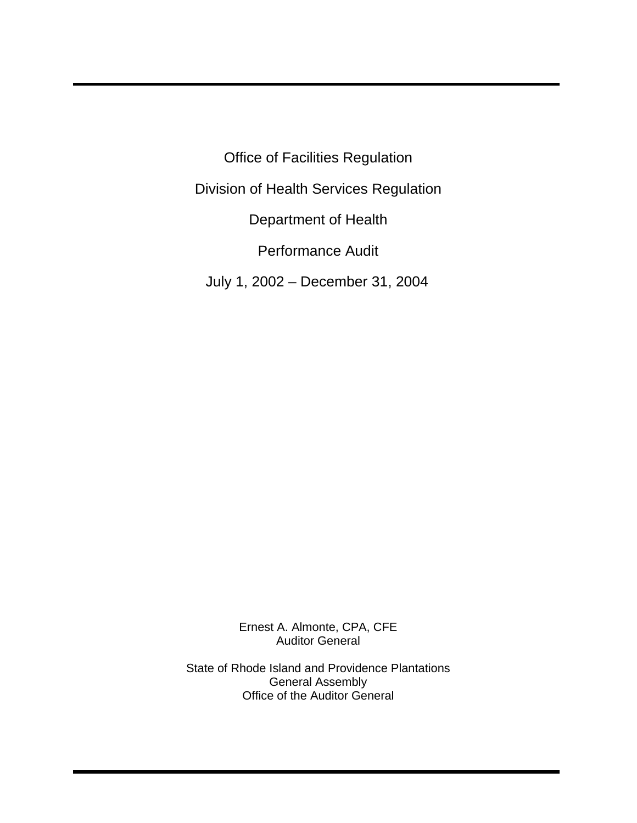Office of Facilities Regulation Division of Health Services Regulation Department of Health Performance Audit July 1, 2002 – December 31, 2004

> Ernest A. Almonte, CPA, CFE Auditor General

State of Rhode Island and Providence Plantations General Assembly Office of the Auditor General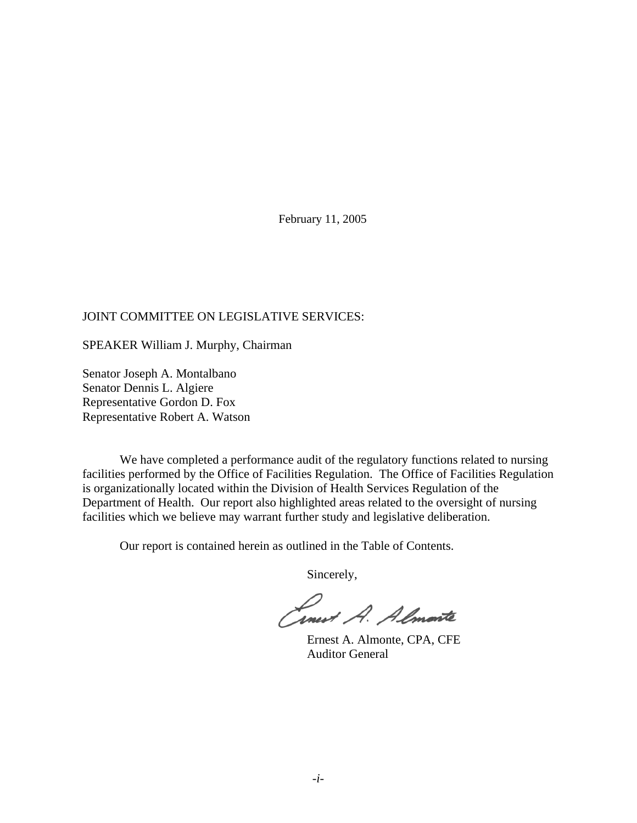February 11, 2005

#### JOINT COMMITTEE ON LEGISLATIVE SERVICES:

SPEAKER William J. Murphy, Chairman

Senator Joseph A. Montalbano Senator Dennis L. Algiere Representative Gordon D. Fox Representative Robert A. Watson

We have completed a performance audit of the regulatory functions related to nursing facilities performed by the Office of Facilities Regulation. The Office of Facilities Regulation is organizationally located within the Division of Health Services Regulation of the Department of Health. Our report also highlighted areas related to the oversight of nursing facilities which we believe may warrant further study and legislative deliberation.

Our report is contained herein as outlined in the Table of Contents.

Sincerely,

Conest A. Almente

 Ernest A. Almonte, CPA, CFE Auditor General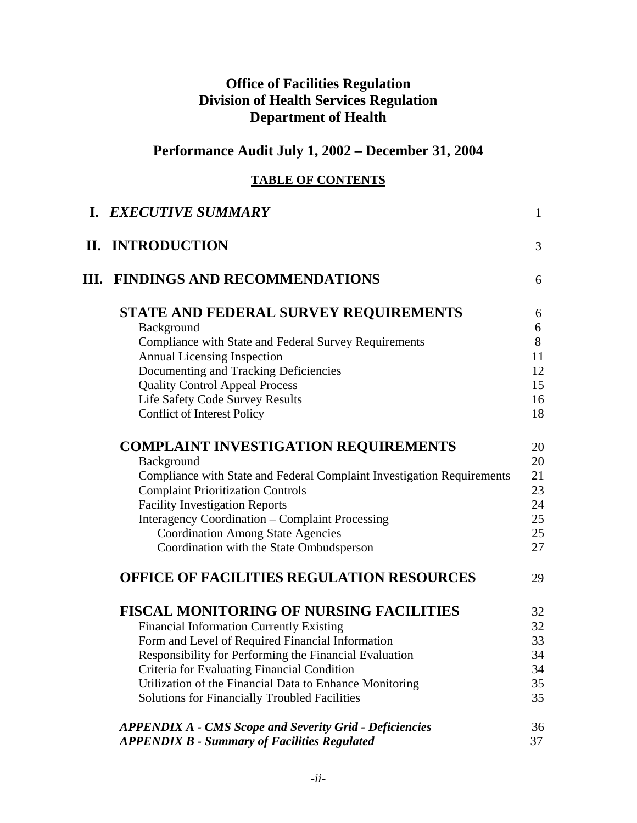## **Office of Facilities Regulation Division of Health Services Regulation Department of Health**

# **Performance Audit July 1, 2002 – December 31, 2004**

## **TABLE OF CONTENTS**

| <b>I. EXECUTIVE SUMMARY</b>                                            | $\mathbf{1}$ |
|------------------------------------------------------------------------|--------------|
| II. INTRODUCTION                                                       | 3            |
| <b>III. FINDINGS AND RECOMMENDATIONS</b>                               | 6            |
| STATE AND FEDERAL SURVEY REQUIREMENTS                                  | 6            |
| Background                                                             | 6            |
| Compliance with State and Federal Survey Requirements                  | 8            |
| <b>Annual Licensing Inspection</b>                                     | 11           |
| Documenting and Tracking Deficiencies                                  | 12           |
| <b>Quality Control Appeal Process</b>                                  | 15           |
| <b>Life Safety Code Survey Results</b>                                 | 16           |
| <b>Conflict of Interest Policy</b>                                     | 18           |
| <b>COMPLAINT INVESTIGATION REQUIREMENTS</b>                            | 20           |
| Background                                                             | 20           |
| Compliance with State and Federal Complaint Investigation Requirements | 21           |
| <b>Complaint Prioritization Controls</b>                               | 23           |
| <b>Facility Investigation Reports</b>                                  | 24           |
| <b>Interagency Coordination – Complaint Processing</b>                 | 25           |
| <b>Coordination Among State Agencies</b>                               | 25           |
| Coordination with the State Ombudsperson                               | 27           |
| <b>OFFICE OF FACILITIES REGULATION RESOURCES</b>                       | 29           |
| <b>FISCAL MONITORING OF NURSING FACILITIES</b>                         | 32           |
| <b>Financial Information Currently Existing</b>                        | 32           |
| Form and Level of Required Financial Information                       | 33           |
| Responsibility for Performing the Financial Evaluation                 | 34           |
| Criteria for Evaluating Financial Condition                            | 34           |
| Utilization of the Financial Data to Enhance Monitoring                | 35           |
| <b>Solutions for Financially Troubled Facilities</b>                   | 35           |
| <b>APPENDIX A - CMS Scope and Severity Grid - Deficiencies</b>         | 36           |
| <b>APPENDIX B - Summary of Facilities Regulated</b>                    | 37           |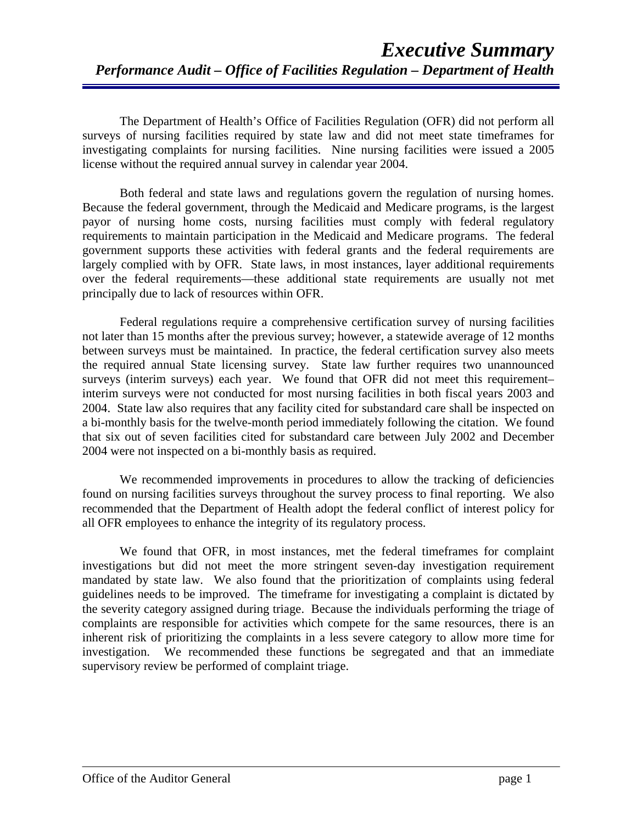The Department of Health's Office of Facilities Regulation (OFR) did not perform all surveys of nursing facilities required by state law and did not meet state timeframes for investigating complaints for nursing facilities. Nine nursing facilities were issued a 2005 license without the required annual survey in calendar year 2004.

Both federal and state laws and regulations govern the regulation of nursing homes. Because the federal government, through the Medicaid and Medicare programs, is the largest payor of nursing home costs, nursing facilities must comply with federal regulatory requirements to maintain participation in the Medicaid and Medicare programs. The federal government supports these activities with federal grants and the federal requirements are largely complied with by OFR. State laws, in most instances, layer additional requirements over the federal requirements—these additional state requirements are usually not met principally due to lack of resources within OFR.

Federal regulations require a comprehensive certification survey of nursing facilities not later than 15 months after the previous survey; however, a statewide average of 12 months between surveys must be maintained. In practice, the federal certification survey also meets the required annual State licensing survey. State law further requires two unannounced surveys (interim surveys) each year. We found that OFR did not meet this requirement– interim surveys were not conducted for most nursing facilities in both fiscal years 2003 and 2004. State law also requires that any facility cited for substandard care shall be inspected on a bi-monthly basis for the twelve-month period immediately following the citation. We found that six out of seven facilities cited for substandard care between July 2002 and December 2004 were not inspected on a bi-monthly basis as required.

We recommended improvements in procedures to allow the tracking of deficiencies found on nursing facilities surveys throughout the survey process to final reporting. We also recommended that the Department of Health adopt the federal conflict of interest policy for all OFR employees to enhance the integrity of its regulatory process.

We found that OFR, in most instances, met the federal timeframes for complaint investigations but did not meet the more stringent seven-day investigation requirement mandated by state law. We also found that the prioritization of complaints using federal guidelines needs to be improved. The timeframe for investigating a complaint is dictated by the severity category assigned during triage. Because the individuals performing the triage of complaints are responsible for activities which compete for the same resources, there is an inherent risk of prioritizing the complaints in a less severe category to allow more time for investigation. We recommended these functions be segregated and that an immediate supervisory review be performed of complaint triage.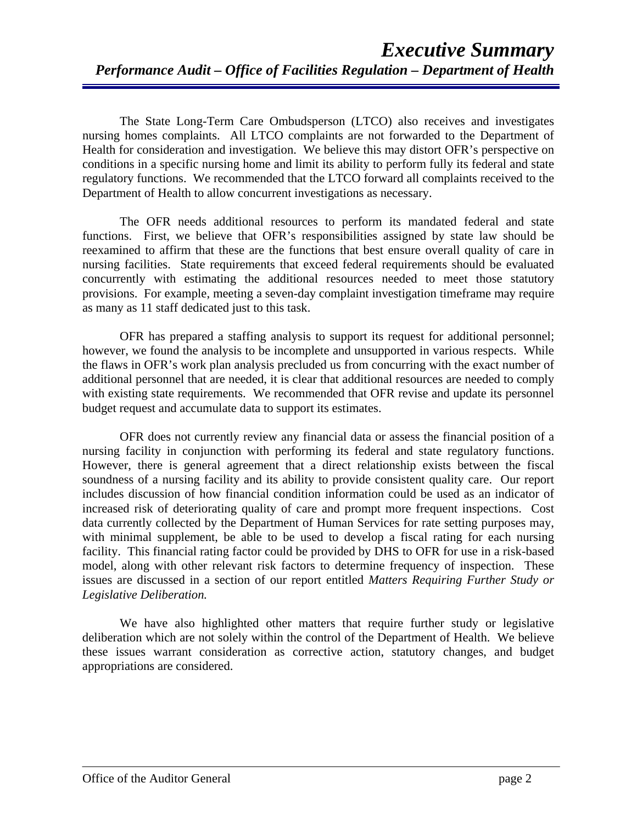The State Long-Term Care Ombudsperson (LTCO) also receives and investigates nursing homes complaints. All LTCO complaints are not forwarded to the Department of Health for consideration and investigation. We believe this may distort OFR's perspective on conditions in a specific nursing home and limit its ability to perform fully its federal and state regulatory functions. We recommended that the LTCO forward all complaints received to the Department of Health to allow concurrent investigations as necessary.

The OFR needs additional resources to perform its mandated federal and state functions. First, we believe that OFR's responsibilities assigned by state law should be reexamined to affirm that these are the functions that best ensure overall quality of care in nursing facilities. State requirements that exceed federal requirements should be evaluated concurrently with estimating the additional resources needed to meet those statutory provisions. For example, meeting a seven-day complaint investigation timeframe may require as many as 11 staff dedicated just to this task.

OFR has prepared a staffing analysis to support its request for additional personnel; however, we found the analysis to be incomplete and unsupported in various respects. While the flaws in OFR's work plan analysis precluded us from concurring with the exact number of additional personnel that are needed, it is clear that additional resources are needed to comply with existing state requirements. We recommended that OFR revise and update its personnel budget request and accumulate data to support its estimates.

OFR does not currently review any financial data or assess the financial position of a nursing facility in conjunction with performing its federal and state regulatory functions. However, there is general agreement that a direct relationship exists between the fiscal soundness of a nursing facility and its ability to provide consistent quality care. Our report includes discussion of how financial condition information could be used as an indicator of increased risk of deteriorating quality of care and prompt more frequent inspections. Cost data currently collected by the Department of Human Services for rate setting purposes may, with minimal supplement, be able to be used to develop a fiscal rating for each nursing facility. This financial rating factor could be provided by DHS to OFR for use in a risk-based model, along with other relevant risk factors to determine frequency of inspection. These issues are discussed in a section of our report entitled *Matters Requiring Further Study or Legislative Deliberation.*

We have also highlighted other matters that require further study or legislative deliberation which are not solely within the control of the Department of Health. We believe these issues warrant consideration as corrective action, statutory changes, and budget appropriations are considered.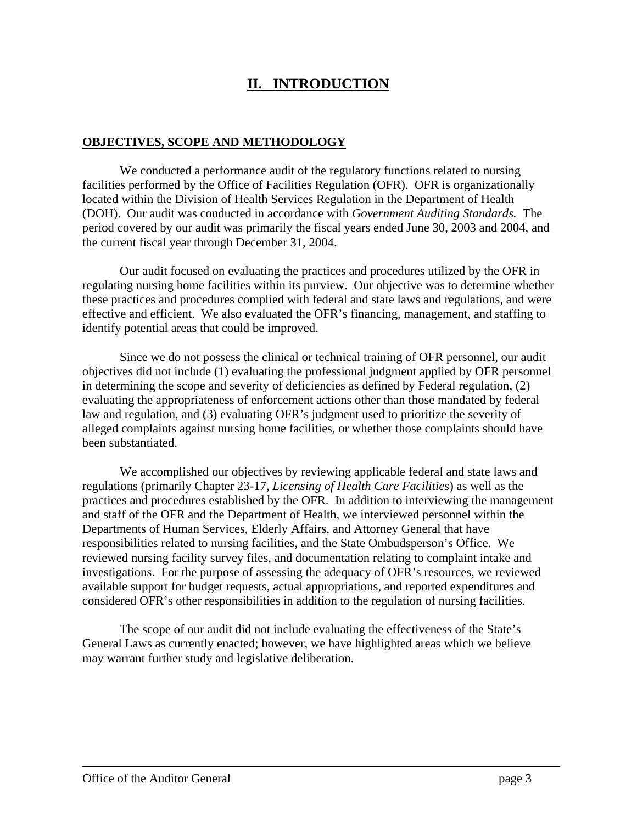## **II. INTRODUCTION**

#### **OBJECTIVES, SCOPE AND METHODOLOGY**

We conducted a performance audit of the regulatory functions related to nursing facilities performed by the Office of Facilities Regulation (OFR). OFR is organizationally located within the Division of Health Services Regulation in the Department of Health (DOH). Our audit was conducted in accordance with *Government Auditing Standards.* The period covered by our audit was primarily the fiscal years ended June 30, 2003 and 2004, and the current fiscal year through December 31, 2004.

Our audit focused on evaluating the practices and procedures utilized by the OFR in regulating nursing home facilities within its purview. Our objective was to determine whether these practices and procedures complied with federal and state laws and regulations, and were effective and efficient. We also evaluated the OFR's financing, management, and staffing to identify potential areas that could be improved.

Since we do not possess the clinical or technical training of OFR personnel, our audit objectives did not include (1) evaluating the professional judgment applied by OFR personnel in determining the scope and severity of deficiencies as defined by Federal regulation, (2) evaluating the appropriateness of enforcement actions other than those mandated by federal law and regulation, and (3) evaluating OFR's judgment used to prioritize the severity of alleged complaints against nursing home facilities, or whether those complaints should have been substantiated.

We accomplished our objectives by reviewing applicable federal and state laws and regulations (primarily Chapter 23-17, *Licensing of Health Care Facilities*) as well as the practices and procedures established by the OFR. In addition to interviewing the management and staff of the OFR and the Department of Health, we interviewed personnel within the Departments of Human Services, Elderly Affairs, and Attorney General that have responsibilities related to nursing facilities, and the State Ombudsperson's Office. We reviewed nursing facility survey files, and documentation relating to complaint intake and investigations. For the purpose of assessing the adequacy of OFR's resources, we reviewed available support for budget requests, actual appropriations, and reported expenditures and considered OFR's other responsibilities in addition to the regulation of nursing facilities.

The scope of our audit did not include evaluating the effectiveness of the State's General Laws as currently enacted; however, we have highlighted areas which we believe may warrant further study and legislative deliberation.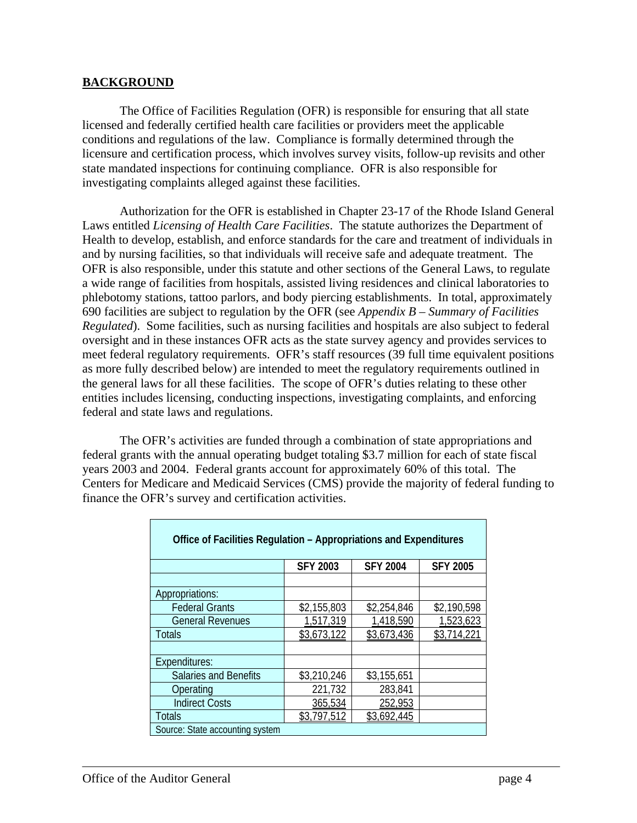#### **BACKGROUND**

The Office of Facilities Regulation (OFR) is responsible for ensuring that all state licensed and federally certified health care facilities or providers meet the applicable conditions and regulations of the law. Compliance is formally determined through the licensure and certification process, which involves survey visits, follow-up revisits and other state mandated inspections for continuing compliance. OFR is also responsible for investigating complaints alleged against these facilities.

Authorization for the OFR is established in Chapter 23-17 of the Rhode Island General Laws entitled *Licensing of Health Care Facilities*. The statute authorizes the Department of Health to develop, establish, and enforce standards for the care and treatment of individuals in and by nursing facilities, so that individuals will receive safe and adequate treatment. The OFR is also responsible, under this statute and other sections of the General Laws, to regulate a wide range of facilities from hospitals, assisted living residences and clinical laboratories to phlebotomy stations, tattoo parlors, and body piercing establishments. In total, approximately 690 facilities are subject to regulation by the OFR (see *Appendix B – Summary of Facilities Regulated*). Some facilities, such as nursing facilities and hospitals are also subject to federal oversight and in these instances OFR acts as the state survey agency and provides services to meet federal regulatory requirements. OFR's staff resources (39 full time equivalent positions as more fully described below) are intended to meet the regulatory requirements outlined in the general laws for all these facilities. The scope of OFR's duties relating to these other entities includes licensing, conducting inspections, investigating complaints, and enforcing federal and state laws and regulations.

The OFR's activities are funded through a combination of state appropriations and federal grants with the annual operating budget totaling \$3.7 million for each of state fiscal years 2003 and 2004. Federal grants account for approximately 60% of this total. The Centers for Medicare and Medicaid Services (CMS) provide the majority of federal funding to finance the OFR's survey and certification activities.

| Office of Facilities Regulation - Appropriations and Expenditures |                 |                 |                 |  |  |  |
|-------------------------------------------------------------------|-----------------|-----------------|-----------------|--|--|--|
|                                                                   | <b>SFY 2003</b> | <b>SFY 2004</b> | <b>SFY 2005</b> |  |  |  |
|                                                                   |                 |                 |                 |  |  |  |
| Appropriations:                                                   |                 |                 |                 |  |  |  |
| <b>Federal Grants</b>                                             | \$2,155,803     | \$2,254,846     | \$2,190,598     |  |  |  |
| <b>General Revenues</b>                                           | 1,517,319       | 1,418,590       | 1,523,623       |  |  |  |
| <b>Totals</b>                                                     | \$3,673,122     | \$3.673.436     | \$3,714.2       |  |  |  |
|                                                                   |                 |                 |                 |  |  |  |
| Expenditures:                                                     |                 |                 |                 |  |  |  |
| <b>Salaries and Benefits</b>                                      | \$3,210,246     | \$3,155,651     |                 |  |  |  |
| Operating                                                         | 221,732         | 283,841         |                 |  |  |  |
| <b>Indirect Costs</b>                                             | 365,534         | 252,953         |                 |  |  |  |
| <b>Totals</b>                                                     | \$3.797.512     | \$3,692,445     |                 |  |  |  |
| Source: State accounting system                                   |                 |                 |                 |  |  |  |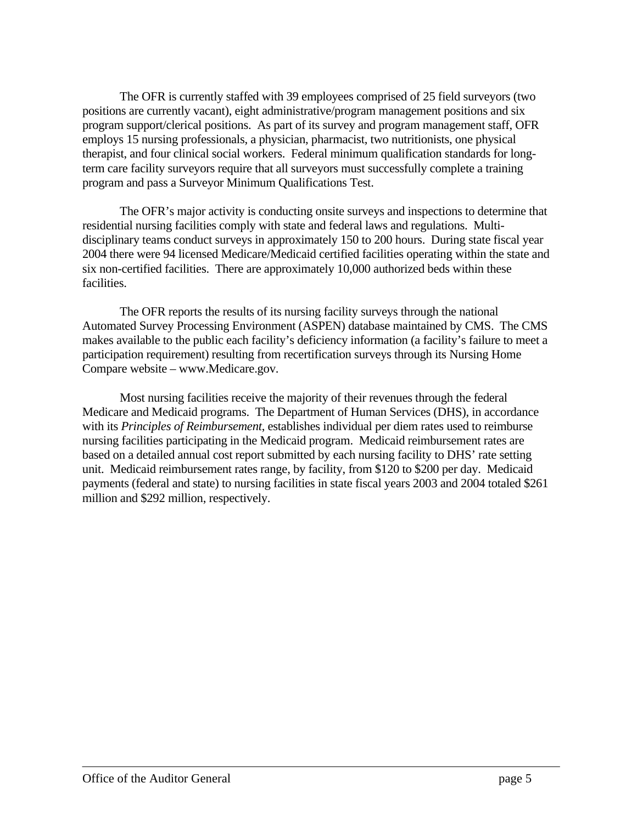The OFR is currently staffed with 39 employees comprised of 25 field surveyors (two positions are currently vacant), eight administrative/program management positions and six program support/clerical positions. As part of its survey and program management staff, OFR employs 15 nursing professionals, a physician, pharmacist, two nutritionists, one physical therapist, and four clinical social workers. Federal minimum qualification standards for longterm care facility surveyors require that all surveyors must successfully complete a training program and pass a Surveyor Minimum Qualifications Test.

The OFR's major activity is conducting onsite surveys and inspections to determine that residential nursing facilities comply with state and federal laws and regulations. Multidisciplinary teams conduct surveys in approximately 150 to 200 hours. During state fiscal year 2004 there were 94 licensed Medicare/Medicaid certified facilities operating within the state and six non-certified facilities. There are approximately 10,000 authorized beds within these facilities.

The OFR reports the results of its nursing facility surveys through the national Automated Survey Processing Environment (ASPEN) database maintained by CMS. The CMS makes available to the public each facility's deficiency information (a facility's failure to meet a participation requirement) resulting from recertification surveys through its Nursing Home Compare website – www.Medicare.gov.

Most nursing facilities receive the majority of their revenues through the federal Medicare and Medicaid programs. The Department of Human Services (DHS), in accordance with its *Principles of Reimbursement*, establishes individual per diem rates used to reimburse nursing facilities participating in the Medicaid program. Medicaid reimbursement rates are based on a detailed annual cost report submitted by each nursing facility to DHS' rate setting unit. Medicaid reimbursement rates range, by facility, from \$120 to \$200 per day. Medicaid payments (federal and state) to nursing facilities in state fiscal years 2003 and 2004 totaled \$261 million and \$292 million, respectively.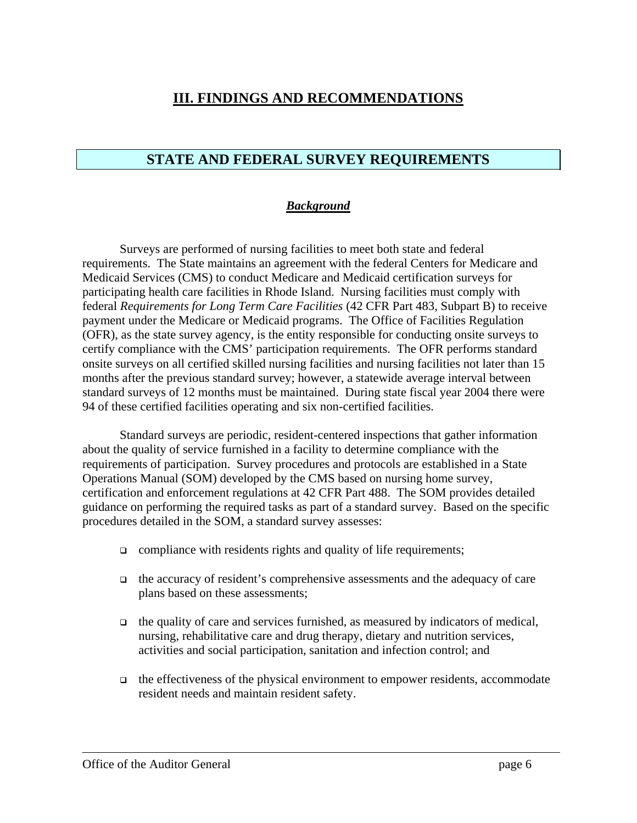## **III. FINDINGS AND RECOMMENDATIONS**

## **STATE AND FEDERAL SURVEY REQUIREMENTS**

#### *Background*

Surveys are performed of nursing facilities to meet both state and federal requirements. The State maintains an agreement with the federal Centers for Medicare and Medicaid Services (CMS) to conduct Medicare and Medicaid certification surveys for participating health care facilities in Rhode Island. Nursing facilities must comply with federal *Requirements for Long Term Care Facilities* (42 CFR Part 483, Subpart B) to receive payment under the Medicare or Medicaid programs. The Office of Facilities Regulation (OFR), as the state survey agency, is the entity responsible for conducting onsite surveys to certify compliance with the CMS' participation requirements. The OFR performs standard onsite surveys on all certified skilled nursing facilities and nursing facilities not later than 15 months after the previous standard survey; however, a statewide average interval between standard surveys of 12 months must be maintained. During state fiscal year 2004 there were 94 of these certified facilities operating and six non-certified facilities.

Standard surveys are periodic, resident-centered inspections that gather information about the quality of service furnished in a facility to determine compliance with the requirements of participation. Survey procedures and protocols are established in a State Operations Manual (SOM) developed by the CMS based on nursing home survey, certification and enforcement regulations at 42 CFR Part 488. The SOM provides detailed guidance on performing the required tasks as part of a standard survey. Based on the specific procedures detailed in the SOM, a standard survey assesses:

- $\Box$  compliance with residents rights and quality of life requirements;
- the accuracy of resident's comprehensive assessments and the adequacy of care plans based on these assessments;
- $\Box$  the quality of care and services furnished, as measured by indicators of medical, nursing, rehabilitative care and drug therapy, dietary and nutrition services, activities and social participation, sanitation and infection control; and
- $\Box$  the effectiveness of the physical environment to empower residents, accommodate resident needs and maintain resident safety.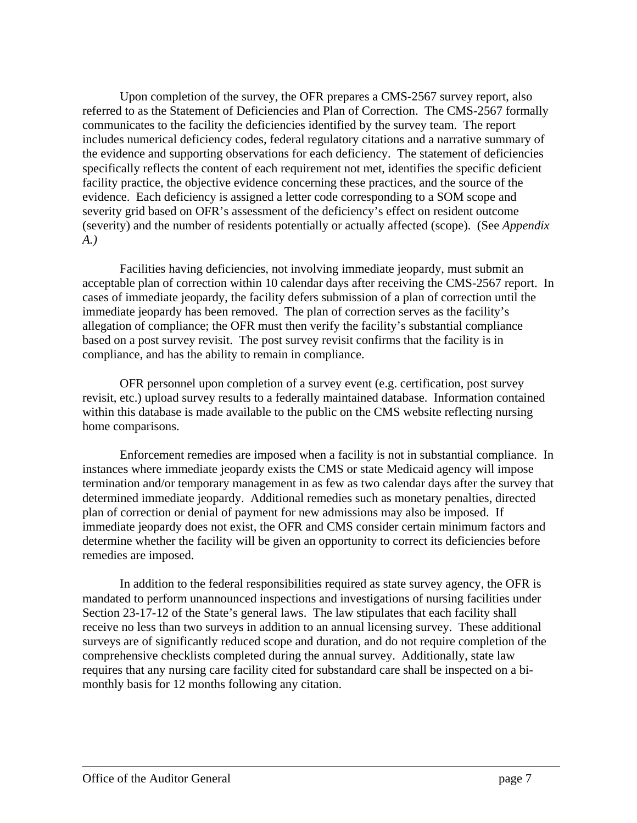Upon completion of the survey, the OFR prepares a CMS-2567 survey report, also referred to as the Statement of Deficiencies and Plan of Correction. The CMS-2567 formally communicates to the facility the deficiencies identified by the survey team. The report includes numerical deficiency codes, federal regulatory citations and a narrative summary of the evidence and supporting observations for each deficiency. The statement of deficiencies specifically reflects the content of each requirement not met, identifies the specific deficient facility practice, the objective evidence concerning these practices, and the source of the evidence. Each deficiency is assigned a letter code corresponding to a SOM scope and severity grid based on OFR's assessment of the deficiency's effect on resident outcome (severity) and the number of residents potentially or actually affected (scope). (See *Appendix A.)*

Facilities having deficiencies, not involving immediate jeopardy, must submit an acceptable plan of correction within 10 calendar days after receiving the CMS-2567 report. In cases of immediate jeopardy, the facility defers submission of a plan of correction until the immediate jeopardy has been removed. The plan of correction serves as the facility's allegation of compliance; the OFR must then verify the facility's substantial compliance based on a post survey revisit. The post survey revisit confirms that the facility is in compliance, and has the ability to remain in compliance.

OFR personnel upon completion of a survey event (e.g. certification, post survey revisit, etc.) upload survey results to a federally maintained database. Information contained within this database is made available to the public on the CMS website reflecting nursing home comparisons.

Enforcement remedies are imposed when a facility is not in substantial compliance. In instances where immediate jeopardy exists the CMS or state Medicaid agency will impose termination and/or temporary management in as few as two calendar days after the survey that determined immediate jeopardy. Additional remedies such as monetary penalties, directed plan of correction or denial of payment for new admissions may also be imposed. If immediate jeopardy does not exist, the OFR and CMS consider certain minimum factors and determine whether the facility will be given an opportunity to correct its deficiencies before remedies are imposed.

In addition to the federal responsibilities required as state survey agency, the OFR is mandated to perform unannounced inspections and investigations of nursing facilities under Section 23-17-12 of the State's general laws. The law stipulates that each facility shall receive no less than two surveys in addition to an annual licensing survey. These additional surveys are of significantly reduced scope and duration, and do not require completion of the comprehensive checklists completed during the annual survey. Additionally, state law requires that any nursing care facility cited for substandard care shall be inspected on a bimonthly basis for 12 months following any citation.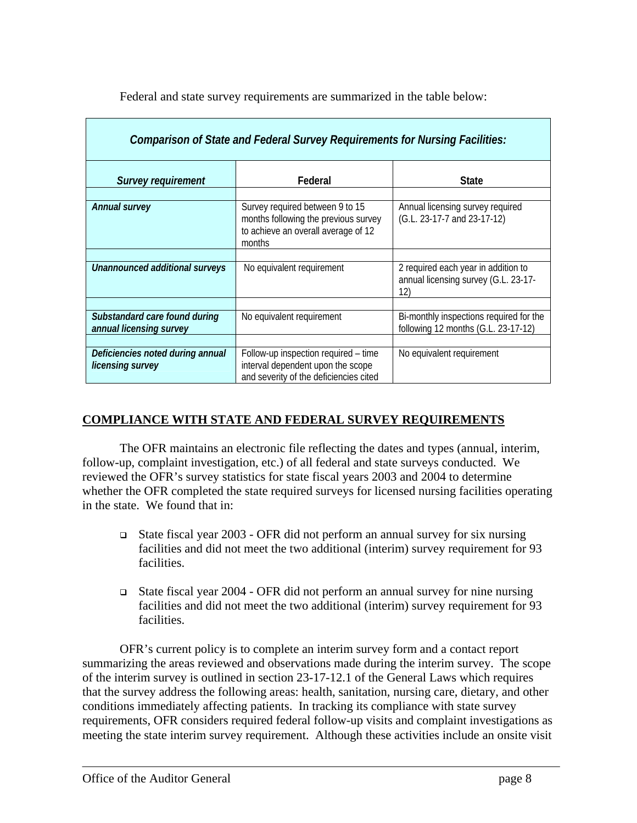Federal and state survey requirements are summarized in the table below:

| Comparison of State and Federal Survey Requirements for Nursing Facilities: |                                                                                                                          |                                                                                    |  |  |  |  |  |
|-----------------------------------------------------------------------------|--------------------------------------------------------------------------------------------------------------------------|------------------------------------------------------------------------------------|--|--|--|--|--|
| <b>Survey requirement</b>                                                   | Federal                                                                                                                  | <b>State</b>                                                                       |  |  |  |  |  |
| <b>Annual survey</b>                                                        | Survey required between 9 to 15<br>months following the previous survey<br>to achieve an overall average of 12<br>months | Annual licensing survey required<br>(G.L. 23-17-7 and 23-17-12)                    |  |  |  |  |  |
| Unannounced additional surveys                                              | No equivalent requirement                                                                                                | 2 required each year in addition to<br>annual licensing survey (G.L. 23-17-<br>12) |  |  |  |  |  |
| Substandard care found during<br>annual licensing survey                    | No equivalent requirement                                                                                                | Bi-monthly inspections required for the<br>following 12 months (G.L. 23-17-12)     |  |  |  |  |  |
| Deficiencies noted during annual<br>licensing survey                        | Follow-up inspection required – time<br>interval dependent upon the scope<br>and severity of the deficiencies cited      | No equivalent requirement                                                          |  |  |  |  |  |

## **COMPLIANCE WITH STATE AND FEDERAL SURVEY REQUIREMENTS**

The OFR maintains an electronic file reflecting the dates and types (annual, interim, follow-up, complaint investigation, etc.) of all federal and state surveys conducted. We reviewed the OFR's survey statistics for state fiscal years 2003 and 2004 to determine whether the OFR completed the state required surveys for licensed nursing facilities operating in the state. We found that in:

- State fiscal year 2003 OFR did not perform an annual survey for six nursing facilities and did not meet the two additional (interim) survey requirement for 93 facilities.
- State fiscal year 2004 OFR did not perform an annual survey for nine nursing facilities and did not meet the two additional (interim) survey requirement for 93 facilities.

OFR's current policy is to complete an interim survey form and a contact report summarizing the areas reviewed and observations made during the interim survey. The scope of the interim survey is outlined in section 23-17-12.1 of the General Laws which requires that the survey address the following areas: health, sanitation, nursing care, dietary, and other conditions immediately affecting patients. In tracking its compliance with state survey requirements, OFR considers required federal follow-up visits and complaint investigations as meeting the state interim survey requirement. Although these activities include an onsite visit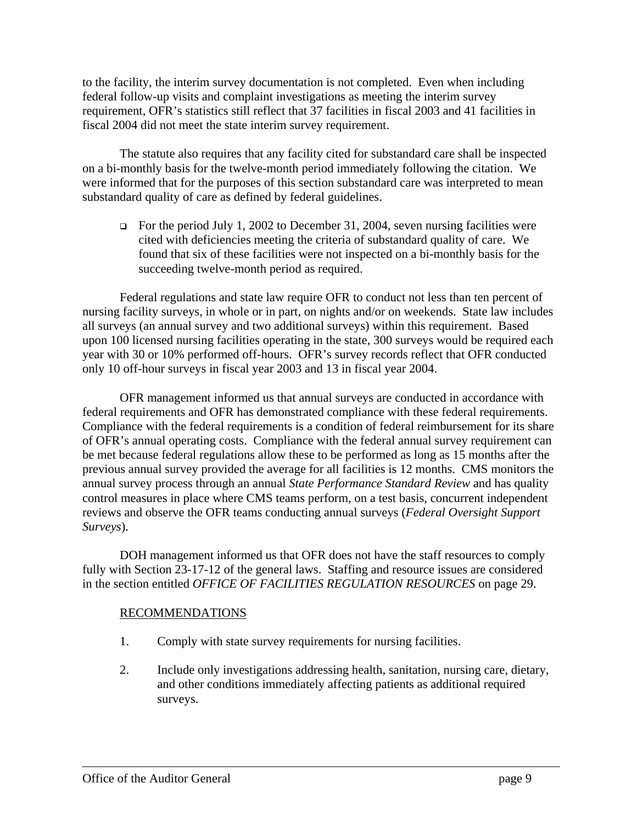to the facility, the interim survey documentation is not completed. Even when including federal follow-up visits and complaint investigations as meeting the interim survey requirement, OFR's statistics still reflect that 37 facilities in fiscal 2003 and 41 facilities in fiscal 2004 did not meet the state interim survey requirement.

The statute also requires that any facility cited for substandard care shall be inspected on a bi-monthly basis for the twelve-month period immediately following the citation. We were informed that for the purposes of this section substandard care was interpreted to mean substandard quality of care as defined by federal guidelines.

For the period July 1, 2002 to December 31, 2004, seven nursing facilities were cited with deficiencies meeting the criteria of substandard quality of care. We found that six of these facilities were not inspected on a bi-monthly basis for the succeeding twelve-month period as required.

Federal regulations and state law require OFR to conduct not less than ten percent of nursing facility surveys, in whole or in part, on nights and/or on weekends. State law includes all surveys (an annual survey and two additional surveys) within this requirement. Based upon 100 licensed nursing facilities operating in the state, 300 surveys would be required each year with 30 or 10% performed off-hours. OFR's survey records reflect that OFR conducted only 10 off-hour surveys in fiscal year 2003 and 13 in fiscal year 2004.

OFR management informed us that annual surveys are conducted in accordance with federal requirements and OFR has demonstrated compliance with these federal requirements. Compliance with the federal requirements is a condition of federal reimbursement for its share of OFR's annual operating costs. Compliance with the federal annual survey requirement can be met because federal regulations allow these to be performed as long as 15 months after the previous annual survey provided the average for all facilities is 12 months. CMS monitors the annual survey process through an annual *State Performance Standard Review* and has quality control measures in place where CMS teams perform, on a test basis, concurrent independent reviews and observe the OFR teams conducting annual surveys (*Federal Oversight Support Surveys*).

DOH management informed us that OFR does not have the staff resources to comply fully with Section 23-17-12 of the general laws. Staffing and resource issues are considered in the section entitled *OFFICE OF FACILITIES REGULATION RESOURCES* on page 29.

#### RECOMMENDATIONS

- 1. Comply with state survey requirements for nursing facilities.
- 2. Include only investigations addressing health, sanitation, nursing care, dietary, and other conditions immediately affecting patients as additional required surveys.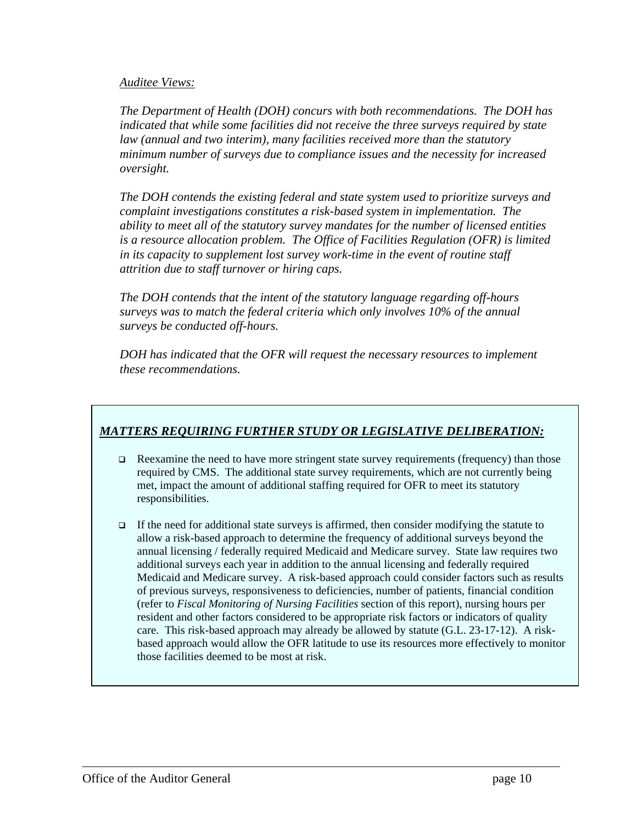#### *Auditee Views:*

*The Department of Health (DOH) concurs with both recommendations. The DOH has indicated that while some facilities did not receive the three surveys required by state law (annual and two interim), many facilities received more than the statutory minimum number of surveys due to compliance issues and the necessity for increased oversight.* 

*The DOH contends the existing federal and state system used to prioritize surveys and complaint investigations constitutes a risk-based system in implementation. The ability to meet all of the statutory survey mandates for the number of licensed entities is a resource allocation problem. The Office of Facilities Regulation (OFR) is limited in its capacity to supplement lost survey work-time in the event of routine staff attrition due to staff turnover or hiring caps.* 

*The DOH contends that the intent of the statutory language regarding off-hours surveys was to match the federal criteria which only involves 10% of the annual surveys be conducted off-hours.* 

*DOH has indicated that the OFR will request the necessary resources to implement these recommendations.*

## *MATTERS REQUIRING FURTHER STUDY OR LEGISLATIVE DELIBERATION:*

- **Examine the need to have more stringent state survey requirements (frequency) than those** required by CMS. The additional state survey requirements, which are not currently being met, impact the amount of additional staffing required for OFR to meet its statutory responsibilities.
- If the need for additional state surveys is affirmed, then consider modifying the statute to allow a risk-based approach to determine the frequency of additional surveys beyond the annual licensing / federally required Medicaid and Medicare survey. State law requires two additional surveys each year in addition to the annual licensing and federally required Medicaid and Medicare survey. A risk-based approach could consider factors such as results of previous surveys, responsiveness to deficiencies, number of patients, financial condition (refer to *Fiscal Monitoring of Nursing Facilities* section of this report), nursing hours per resident and other factors considered to be appropriate risk factors or indicators of quality care. This risk-based approach may already be allowed by statute (G.L. 23-17-12). A riskbased approach would allow the OFR latitude to use its resources more effectively to monitor those facilities deemed to be most at risk.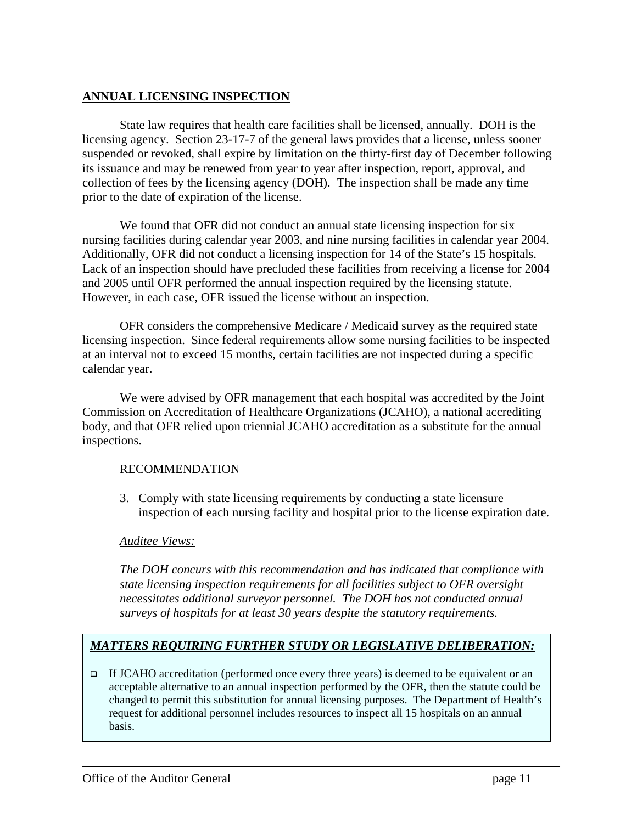### **ANNUAL LICENSING INSPECTION**

State law requires that health care facilities shall be licensed, annually. DOH is the licensing agency. Section 23-17-7 of the general laws provides that a license, unless sooner suspended or revoked, shall expire by limitation on the thirty-first day of December following its issuance and may be renewed from year to year after inspection, report, approval, and collection of fees by the licensing agency (DOH). The inspection shall be made any time prior to the date of expiration of the license.

We found that OFR did not conduct an annual state licensing inspection for six nursing facilities during calendar year 2003, and nine nursing facilities in calendar year 2004. Additionally, OFR did not conduct a licensing inspection for 14 of the State's 15 hospitals. Lack of an inspection should have precluded these facilities from receiving a license for 2004 and 2005 until OFR performed the annual inspection required by the licensing statute. However, in each case, OFR issued the license without an inspection.

OFR considers the comprehensive Medicare / Medicaid survey as the required state licensing inspection. Since federal requirements allow some nursing facilities to be inspected at an interval not to exceed 15 months, certain facilities are not inspected during a specific calendar year.

We were advised by OFR management that each hospital was accredited by the Joint Commission on Accreditation of Healthcare Organizations (JCAHO), a national accrediting body, and that OFR relied upon triennial JCAHO accreditation as a substitute for the annual inspections.

#### RECOMMENDATION

3. Comply with state licensing requirements by conducting a state licensure inspection of each nursing facility and hospital prior to the license expiration date.

#### *Auditee Views:*

*The DOH concurs with this recommendation and has indicated that compliance with state licensing inspection requirements for all facilities subject to OFR oversight necessitates additional surveyor personnel. The DOH has not conducted annual surveys of hospitals for at least 30 years despite the statutory requirements.* 

## *MATTERS REQUIRING FURTHER STUDY OR LEGISLATIVE DELIBERATION:*

If JCAHO accreditation (performed once every three years) is deemed to be equivalent or an acceptable alternative to an annual inspection performed by the OFR, then the statute could be changed to permit this substitution for annual licensing purposes. The Department of Health's request for additional personnel includes resources to inspect all 15 hospitals on an annual basis.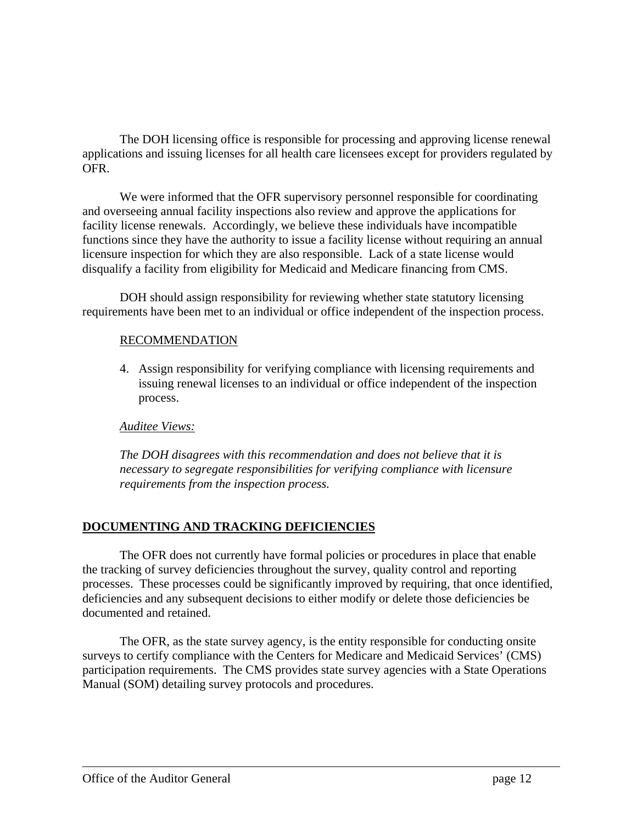The DOH licensing office is responsible for processing and approving license renewal applications and issuing licenses for all health care licensees except for providers regulated by OFR.

We were informed that the OFR supervisory personnel responsible for coordinating and overseeing annual facility inspections also review and approve the applications for facility license renewals. Accordingly, we believe these individuals have incompatible functions since they have the authority to issue a facility license without requiring an annual licensure inspection for which they are also responsible. Lack of a state license would disqualify a facility from eligibility for Medicaid and Medicare financing from CMS.

DOH should assign responsibility for reviewing whether state statutory licensing requirements have been met to an individual or office independent of the inspection process.

#### RECOMMENDATION

4. Assign responsibility for verifying compliance with licensing requirements and issuing renewal licenses to an individual or office independent of the inspection process.

#### *Auditee Views:*

*The DOH disagrees with this recommendation and does not believe that it is necessary to segregate responsibilities for verifying compliance with licensure requirements from the inspection process.* 

## **DOCUMENTING AND TRACKING DEFICIENCIES**

The OFR does not currently have formal policies or procedures in place that enable the tracking of survey deficiencies throughout the survey, quality control and reporting processes. These processes could be significantly improved by requiring, that once identified, deficiencies and any subsequent decisions to either modify or delete those deficiencies be documented and retained.

The OFR, as the state survey agency, is the entity responsible for conducting onsite surveys to certify compliance with the Centers for Medicare and Medicaid Services' (CMS) participation requirements. The CMS provides state survey agencies with a State Operations Manual (SOM) detailing survey protocols and procedures.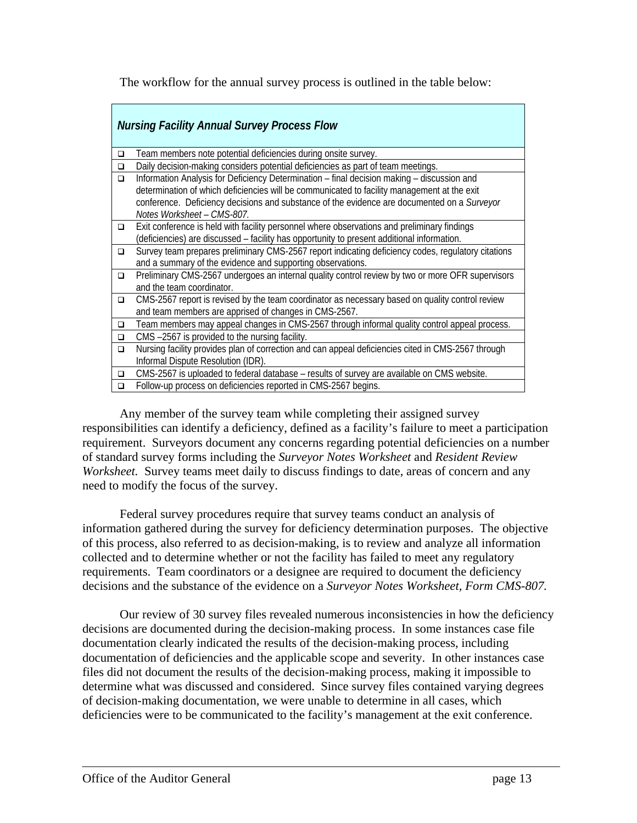The workflow for the annual survey process is outlined in the table below:

|        | <b>Nursing Facility Annual Survey Process Flow</b>                                                 |  |  |  |  |  |
|--------|----------------------------------------------------------------------------------------------------|--|--|--|--|--|
| $\Box$ | Team members note potential deficiencies during onsite survey.                                     |  |  |  |  |  |
| $\Box$ | Daily decision-making considers potential deficiencies as part of team meetings.                   |  |  |  |  |  |
| $\Box$ | Information Analysis for Deficiency Determination - final decision making - discussion and         |  |  |  |  |  |
|        | determination of which deficiencies will be communicated to facility management at the exit        |  |  |  |  |  |
|        | conference. Deficiency decisions and substance of the evidence are documented on a Surveyor        |  |  |  |  |  |
|        | Notes Worksheet - CMS-807.                                                                         |  |  |  |  |  |
| $\Box$ | Exit conference is held with facility personnel where observations and preliminary findings        |  |  |  |  |  |
|        | (deficiencies) are discussed - facility has opportunity to present additional information.         |  |  |  |  |  |
| $\Box$ | Survey team prepares preliminary CMS-2567 report indicating deficiency codes, regulatory citations |  |  |  |  |  |
|        | and a summary of the evidence and supporting observations.                                         |  |  |  |  |  |
| $\Box$ | Preliminary CMS-2567 undergoes an internal quality control review by two or more OFR supervisors   |  |  |  |  |  |
|        | and the team coordinator.                                                                          |  |  |  |  |  |
| $\Box$ | CMS-2567 report is revised by the team coordinator as necessary based on quality control review    |  |  |  |  |  |
|        | and team members are apprised of changes in CMS-2567.                                              |  |  |  |  |  |
| $\Box$ | Team members may appeal changes in CMS-2567 through informal quality control appeal process.       |  |  |  |  |  |
| $\Box$ | CMS-2567 is provided to the nursing facility.                                                      |  |  |  |  |  |
| $\Box$ | Nursing facility provides plan of correction and can appeal deficiencies cited in CMS-2567 through |  |  |  |  |  |
|        | Informal Dispute Resolution (IDR).                                                                 |  |  |  |  |  |
| $\Box$ | CMS-2567 is uploaded to federal database – results of survey are available on CMS website.         |  |  |  |  |  |
| $\Box$ | Follow-up process on deficiencies reported in CMS-2567 begins.                                     |  |  |  |  |  |

Any member of the survey team while completing their assigned survey responsibilities can identify a deficiency, defined as a facility's failure to meet a participation requirement. Surveyors document any concerns regarding potential deficiencies on a number of standard survey forms including the *Surveyor Notes Worksheet* and *Resident Review Worksheet.* Survey teams meet daily to discuss findings to date, areas of concern and any need to modify the focus of the survey.

Federal survey procedures require that survey teams conduct an analysis of information gathered during the survey for deficiency determination purposes. The objective of this process, also referred to as decision-making, is to review and analyze all information collected and to determine whether or not the facility has failed to meet any regulatory requirements. Team coordinators or a designee are required to document the deficiency decisions and the substance of the evidence on a *Surveyor Notes Worksheet, Form CMS-807.* 

Our review of 30 survey files revealed numerous inconsistencies in how the deficiency decisions are documented during the decision-making process. In some instances case file documentation clearly indicated the results of the decision-making process, including documentation of deficiencies and the applicable scope and severity. In other instances case files did not document the results of the decision-making process, making it impossible to determine what was discussed and considered. Since survey files contained varying degrees of decision-making documentation, we were unable to determine in all cases, which deficiencies were to be communicated to the facility's management at the exit conference.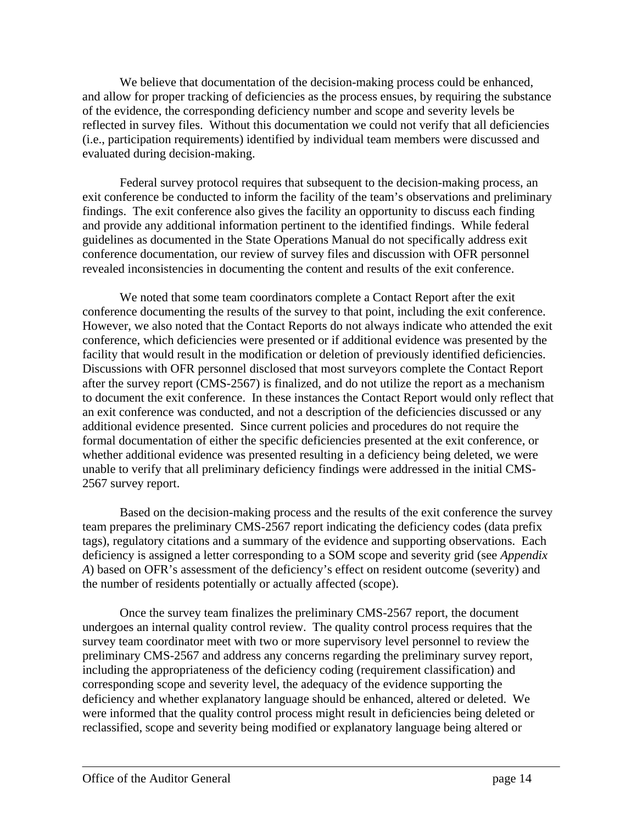We believe that documentation of the decision-making process could be enhanced, and allow for proper tracking of deficiencies as the process ensues, by requiring the substance of the evidence, the corresponding deficiency number and scope and severity levels be reflected in survey files. Without this documentation we could not verify that all deficiencies (i.e., participation requirements) identified by individual team members were discussed and evaluated during decision-making.

Federal survey protocol requires that subsequent to the decision-making process, an exit conference be conducted to inform the facility of the team's observations and preliminary findings. The exit conference also gives the facility an opportunity to discuss each finding and provide any additional information pertinent to the identified findings. While federal guidelines as documented in the State Operations Manual do not specifically address exit conference documentation, our review of survey files and discussion with OFR personnel revealed inconsistencies in documenting the content and results of the exit conference.

We noted that some team coordinators complete a Contact Report after the exit conference documenting the results of the survey to that point, including the exit conference. However, we also noted that the Contact Reports do not always indicate who attended the exit conference, which deficiencies were presented or if additional evidence was presented by the facility that would result in the modification or deletion of previously identified deficiencies. Discussions with OFR personnel disclosed that most surveyors complete the Contact Report after the survey report (CMS-2567) is finalized, and do not utilize the report as a mechanism to document the exit conference. In these instances the Contact Report would only reflect that an exit conference was conducted, and not a description of the deficiencies discussed or any additional evidence presented. Since current policies and procedures do not require the formal documentation of either the specific deficiencies presented at the exit conference, or whether additional evidence was presented resulting in a deficiency being deleted, we were unable to verify that all preliminary deficiency findings were addressed in the initial CMS-2567 survey report.

Based on the decision-making process and the results of the exit conference the survey team prepares the preliminary CMS-2567 report indicating the deficiency codes (data prefix tags), regulatory citations and a summary of the evidence and supporting observations. Each deficiency is assigned a letter corresponding to a SOM scope and severity grid (see *Appendix A*) based on OFR's assessment of the deficiency's effect on resident outcome (severity) and the number of residents potentially or actually affected (scope).

Once the survey team finalizes the preliminary CMS-2567 report, the document undergoes an internal quality control review. The quality control process requires that the survey team coordinator meet with two or more supervisory level personnel to review the preliminary CMS-2567 and address any concerns regarding the preliminary survey report, including the appropriateness of the deficiency coding (requirement classification) and corresponding scope and severity level, the adequacy of the evidence supporting the deficiency and whether explanatory language should be enhanced, altered or deleted. We were informed that the quality control process might result in deficiencies being deleted or reclassified, scope and severity being modified or explanatory language being altered or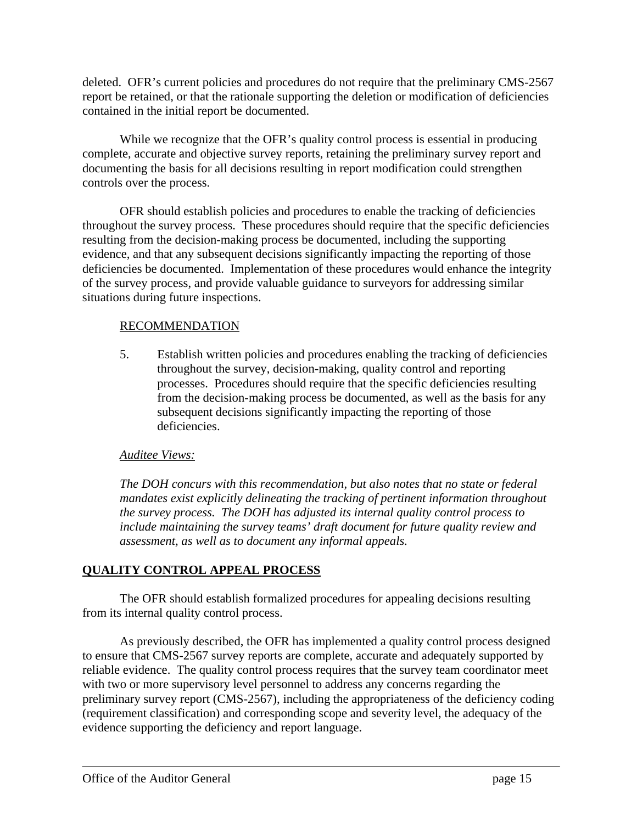deleted. OFR's current policies and procedures do not require that the preliminary CMS-2567 report be retained, or that the rationale supporting the deletion or modification of deficiencies contained in the initial report be documented.

While we recognize that the OFR's quality control process is essential in producing complete, accurate and objective survey reports, retaining the preliminary survey report and documenting the basis for all decisions resulting in report modification could strengthen controls over the process.

OFR should establish policies and procedures to enable the tracking of deficiencies throughout the survey process. These procedures should require that the specific deficiencies resulting from the decision-making process be documented, including the supporting evidence, and that any subsequent decisions significantly impacting the reporting of those deficiencies be documented. Implementation of these procedures would enhance the integrity of the survey process, and provide valuable guidance to surveyors for addressing similar situations during future inspections.

#### RECOMMENDATION

5. Establish written policies and procedures enabling the tracking of deficiencies throughout the survey, decision-making, quality control and reporting processes. Procedures should require that the specific deficiencies resulting from the decision-making process be documented, as well as the basis for any subsequent decisions significantly impacting the reporting of those deficiencies.

## *Auditee Views:*

*The DOH concurs with this recommendation, but also notes that no state or federal mandates exist explicitly delineating the tracking of pertinent information throughout the survey process. The DOH has adjusted its internal quality control process to include maintaining the survey teams' draft document for future quality review and assessment, as well as to document any informal appeals.* 

## **QUALITY CONTROL APPEAL PROCESS**

The OFR should establish formalized procedures for appealing decisions resulting from its internal quality control process.

As previously described, the OFR has implemented a quality control process designed to ensure that CMS-2567 survey reports are complete, accurate and adequately supported by reliable evidence. The quality control process requires that the survey team coordinator meet with two or more supervisory level personnel to address any concerns regarding the preliminary survey report (CMS-2567), including the appropriateness of the deficiency coding (requirement classification) and corresponding scope and severity level, the adequacy of the evidence supporting the deficiency and report language.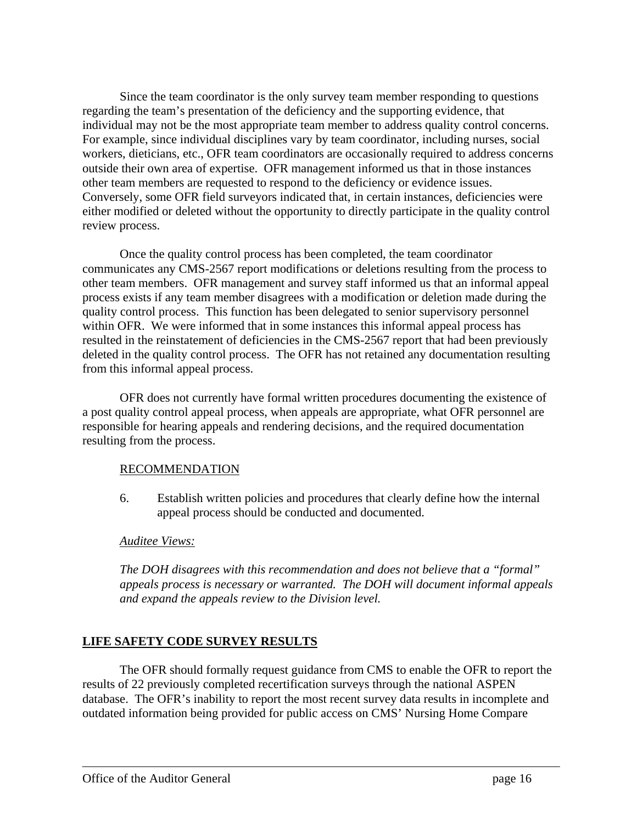Since the team coordinator is the only survey team member responding to questions regarding the team's presentation of the deficiency and the supporting evidence, that individual may not be the most appropriate team member to address quality control concerns. For example, since individual disciplines vary by team coordinator, including nurses, social workers, dieticians, etc., OFR team coordinators are occasionally required to address concerns outside their own area of expertise. OFR management informed us that in those instances other team members are requested to respond to the deficiency or evidence issues. Conversely, some OFR field surveyors indicated that, in certain instances, deficiencies were either modified or deleted without the opportunity to directly participate in the quality control review process.

Once the quality control process has been completed, the team coordinator communicates any CMS-2567 report modifications or deletions resulting from the process to other team members. OFR management and survey staff informed us that an informal appeal process exists if any team member disagrees with a modification or deletion made during the quality control process. This function has been delegated to senior supervisory personnel within OFR. We were informed that in some instances this informal appeal process has resulted in the reinstatement of deficiencies in the CMS-2567 report that had been previously deleted in the quality control process. The OFR has not retained any documentation resulting from this informal appeal process.

OFR does not currently have formal written procedures documenting the existence of a post quality control appeal process, when appeals are appropriate, what OFR personnel are responsible for hearing appeals and rendering decisions, and the required documentation resulting from the process.

#### RECOMMENDATION

6. Establish written policies and procedures that clearly define how the internal appeal process should be conducted and documented.

#### *Auditee Views:*

*The DOH disagrees with this recommendation and does not believe that a "formal" appeals process is necessary or warranted. The DOH will document informal appeals and expand the appeals review to the Division level.* 

## **LIFE SAFETY CODE SURVEY RESULTS**

The OFR should formally request guidance from CMS to enable the OFR to report the results of 22 previously completed recertification surveys through the national ASPEN database. The OFR's inability to report the most recent survey data results in incomplete and outdated information being provided for public access on CMS' Nursing Home Compare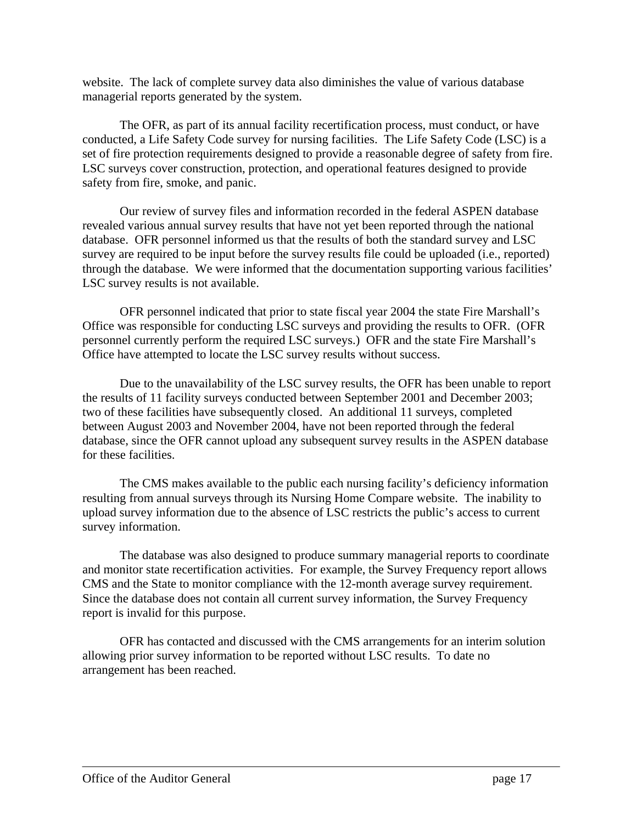website. The lack of complete survey data also diminishes the value of various database managerial reports generated by the system.

The OFR, as part of its annual facility recertification process, must conduct, or have conducted, a Life Safety Code survey for nursing facilities. The Life Safety Code (LSC) is a set of fire protection requirements designed to provide a reasonable degree of safety from fire. LSC surveys cover construction, protection, and operational features designed to provide safety from fire, smoke, and panic.

Our review of survey files and information recorded in the federal ASPEN database revealed various annual survey results that have not yet been reported through the national database. OFR personnel informed us that the results of both the standard survey and LSC survey are required to be input before the survey results file could be uploaded (i.e., reported) through the database. We were informed that the documentation supporting various facilities' LSC survey results is not available.

OFR personnel indicated that prior to state fiscal year 2004 the state Fire Marshall's Office was responsible for conducting LSC surveys and providing the results to OFR. (OFR personnel currently perform the required LSC surveys.) OFR and the state Fire Marshall's Office have attempted to locate the LSC survey results without success.

Due to the unavailability of the LSC survey results, the OFR has been unable to report the results of 11 facility surveys conducted between September 2001 and December 2003; two of these facilities have subsequently closed. An additional 11 surveys, completed between August 2003 and November 2004, have not been reported through the federal database, since the OFR cannot upload any subsequent survey results in the ASPEN database for these facilities.

The CMS makes available to the public each nursing facility's deficiency information resulting from annual surveys through its Nursing Home Compare website. The inability to upload survey information due to the absence of LSC restricts the public's access to current survey information.

The database was also designed to produce summary managerial reports to coordinate and monitor state recertification activities. For example, the Survey Frequency report allows CMS and the State to monitor compliance with the 12-month average survey requirement. Since the database does not contain all current survey information, the Survey Frequency report is invalid for this purpose.

OFR has contacted and discussed with the CMS arrangements for an interim solution allowing prior survey information to be reported without LSC results. To date no arrangement has been reached.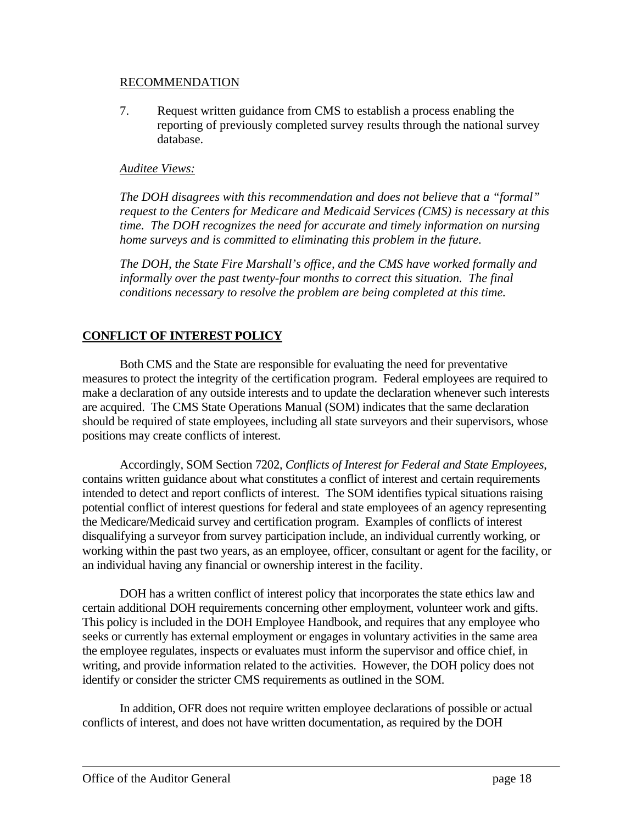#### RECOMMENDATION

7. Request written guidance from CMS to establish a process enabling the reporting of previously completed survey results through the national survey database.

#### *Auditee Views:*

*The DOH disagrees with this recommendation and does not believe that a "formal" request to the Centers for Medicare and Medicaid Services (CMS) is necessary at this time. The DOH recognizes the need for accurate and timely information on nursing home surveys and is committed to eliminating this problem in the future.* 

*The DOH, the State Fire Marshall's office, and the CMS have worked formally and informally over the past twenty-four months to correct this situation. The final conditions necessary to resolve the problem are being completed at this time.* 

## **CONFLICT OF INTEREST POLICY**

Both CMS and the State are responsible for evaluating the need for preventative measures to protect the integrity of the certification program. Federal employees are required to make a declaration of any outside interests and to update the declaration whenever such interests are acquired. The CMS State Operations Manual (SOM) indicates that the same declaration should be required of state employees, including all state surveyors and their supervisors, whose positions may create conflicts of interest.

Accordingly, SOM Section 7202, *Conflicts of Interest for Federal and State Employees*, contains written guidance about what constitutes a conflict of interest and certain requirements intended to detect and report conflicts of interest. The SOM identifies typical situations raising potential conflict of interest questions for federal and state employees of an agency representing the Medicare/Medicaid survey and certification program. Examples of conflicts of interest disqualifying a surveyor from survey participation include, an individual currently working, or working within the past two years, as an employee, officer, consultant or agent for the facility, or an individual having any financial or ownership interest in the facility.

DOH has a written conflict of interest policy that incorporates the state ethics law and certain additional DOH requirements concerning other employment, volunteer work and gifts. This policy is included in the DOH Employee Handbook, and requires that any employee who seeks or currently has external employment or engages in voluntary activities in the same area the employee regulates, inspects or evaluates must inform the supervisor and office chief, in writing, and provide information related to the activities. However, the DOH policy does not identify or consider the stricter CMS requirements as outlined in the SOM.

In addition, OFR does not require written employee declarations of possible or actual conflicts of interest, and does not have written documentation, as required by the DOH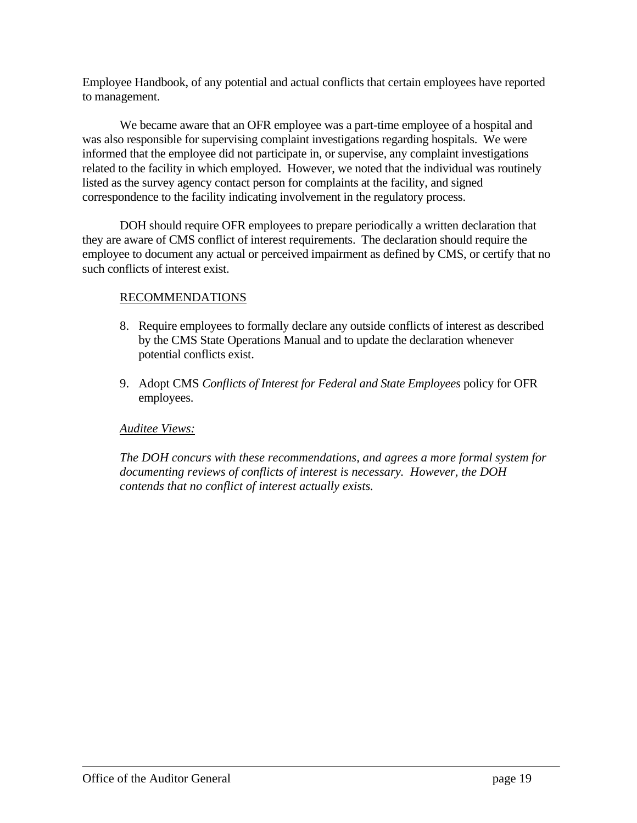Employee Handbook, of any potential and actual conflicts that certain employees have reported to management.

We became aware that an OFR employee was a part-time employee of a hospital and was also responsible for supervising complaint investigations regarding hospitals. We were informed that the employee did not participate in, or supervise, any complaint investigations related to the facility in which employed. However, we noted that the individual was routinely listed as the survey agency contact person for complaints at the facility, and signed correspondence to the facility indicating involvement in the regulatory process.

DOH should require OFR employees to prepare periodically a written declaration that they are aware of CMS conflict of interest requirements. The declaration should require the employee to document any actual or perceived impairment as defined by CMS, or certify that no such conflicts of interest exist.

## RECOMMENDATIONS

- 8. Require employees to formally declare any outside conflicts of interest as described by the CMS State Operations Manual and to update the declaration whenever potential conflicts exist.
- 9. Adopt CMS *Conflicts of Interest for Federal and State Employees* policy for OFR employees.

## *Auditee Views:*

*The DOH concurs with these recommendations, and agrees a more formal system for documenting reviews of conflicts of interest is necessary. However, the DOH contends that no conflict of interest actually exists.*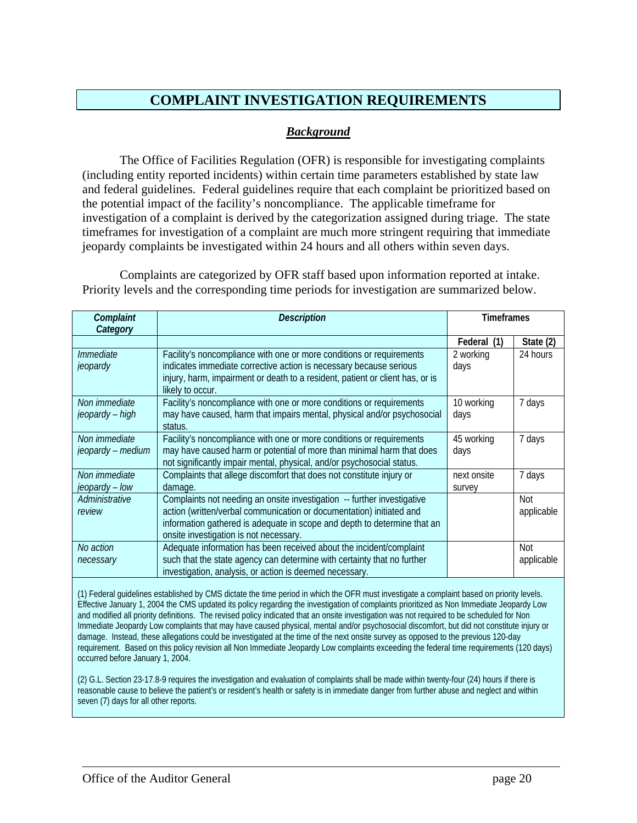## **COMPLAINT INVESTIGATION REQUIREMENTS**

### *Background*

The Office of Facilities Regulation (OFR) is responsible for investigating complaints (including entity reported incidents) within certain time parameters established by state law and federal guidelines. Federal guidelines require that each complaint be prioritized based on the potential impact of the facility's noncompliance. The applicable timeframe for investigation of a complaint is derived by the categorization assigned during triage. The state timeframes for investigation of a complaint are much more stringent requiring that immediate jeopardy complaints be investigated within 24 hours and all others within seven days.

Complaints are categorized by OFR staff based upon information reported at intake. Priority levels and the corresponding time periods for investigation are summarized below.

| Complaint<br>Category | Description                                                                                                                                     | Timeframes  |            |
|-----------------------|-------------------------------------------------------------------------------------------------------------------------------------------------|-------------|------------|
|                       |                                                                                                                                                 | Federal (1) | State (2)  |
| Immediate             | Facility's noncompliance with one or more conditions or requirements                                                                            | 2 working   | 24 hours   |
| jeopardy              | indicates immediate corrective action is necessary because serious                                                                              | days        |            |
|                       | injury, harm, impairment or death to a resident, patient or client has, or is<br>likely to occur.                                               |             |            |
| Non immediate         | Facility's noncompliance with one or more conditions or requirements                                                                            | 10 working  | 7 days     |
| jeopardy – high       | may have caused, harm that impairs mental, physical and/or psychosocial<br>status.                                                              | days        |            |
| Non immediate         | Facility's noncompliance with one or more conditions or requirements                                                                            | 45 working  | 7 days     |
| jeopardy – medium     | may have caused harm or potential of more than minimal harm that does<br>not significantly impair mental, physical, and/or psychosocial status. | days        |            |
| Non immediate         | Complaints that allege discomfort that does not constitute injury or                                                                            | next onsite | 7 days     |
| jeopardy – low        | damage.                                                                                                                                         | survey      |            |
| Administrative        | Complaints not needing an onsite investigation -- further investigative                                                                         |             | Not        |
| review                | action (written/verbal communication or documentation) initiated and                                                                            |             | applicable |
|                       | information gathered is adequate in scope and depth to determine that an                                                                        |             |            |
|                       | onsite investigation is not necessary.                                                                                                          |             |            |
| No action             | Adequate information has been received about the incident/complaint                                                                             |             | Not        |
| necessary             | such that the state agency can determine with certainty that no further                                                                         |             | applicable |
|                       | investigation, analysis, or action is deemed necessary.                                                                                         |             |            |

(1) Federal guidelines established by CMS dictate the time period in which the OFR must investigate a complaint based on priority levels. Effective January 1, 2004 the CMS updated its policy regarding the investigation of complaints prioritized as Non Immediate Jeopardy Low and modified all priority definitions. The revised policy indicated that an onsite investigation was not required to be scheduled for Non Immediate Jeopardy Low complaints that may have caused physical, mental and/or psychosocial discomfort, but did not constitute injury or damage. Instead, these allegations could be investigated at the time of the next onsite survey as opposed to the previous 120-day requirement. Based on this policy revision all Non Immediate Jeopardy Low complaints exceeding the federal time requirements (120 days) occurred before January 1, 2004.

(2) G.L. Section 23-17.8-9 requires the investigation and evaluation of complaints shall be made within twenty-four (24) hours if there is reasonable cause to believe the patient's or resident's health or safety is in immediate danger from further abuse and neglect and within seven (7) days for all other reports.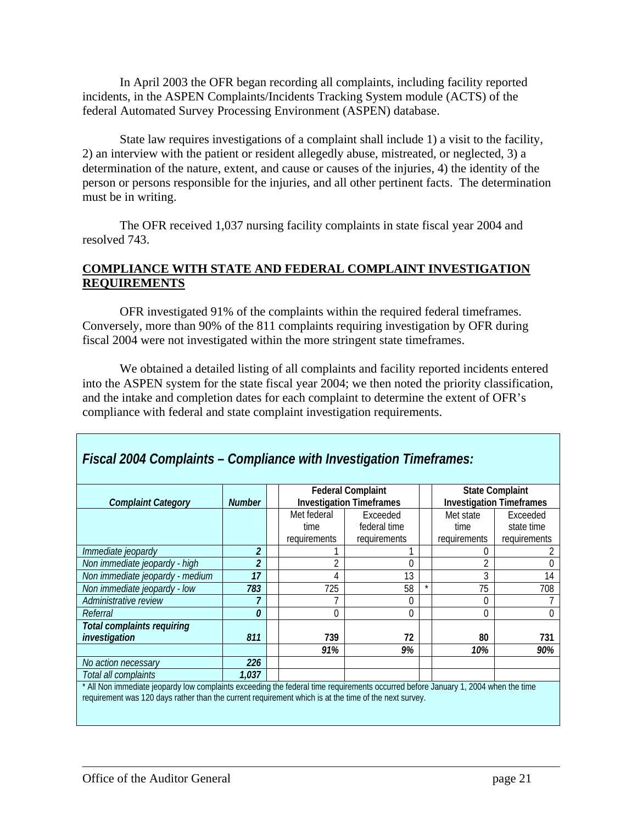In April 2003 the OFR began recording all complaints, including facility reported incidents, in the ASPEN Complaints/Incidents Tracking System module (ACTS) of the federal Automated Survey Processing Environment (ASPEN) database.

State law requires investigations of a complaint shall include 1) a visit to the facility, 2) an interview with the patient or resident allegedly abuse, mistreated, or neglected, 3) a determination of the nature, extent, and cause or causes of the injuries, 4) the identity of the person or persons responsible for the injuries, and all other pertinent facts. The determination must be in writing.

The OFR received 1,037 nursing facility complaints in state fiscal year 2004 and resolved 743.

### **COMPLIANCE WITH STATE AND FEDERAL COMPLAINT INVESTIGATION REQUIREMENTS**

OFR investigated 91% of the complaints within the required federal timeframes. Conversely, more than 90% of the 811 complaints requiring investigation by OFR during fiscal 2004 were not investigated within the more stringent state timeframes.

We obtained a detailed listing of all complaints and facility reported incidents entered into the ASPEN system for the state fiscal year 2004; we then noted the priority classification, and the intake and completion dates for each complaint to determine the extent of OFR's compliance with federal and state complaint investigation requirements.

|                                                                                                                                                                                                                                          |               |  | <b>Federal Complaint</b><br><b>State Complaint</b> |              |  |                                 |              |
|------------------------------------------------------------------------------------------------------------------------------------------------------------------------------------------------------------------------------------------|---------------|--|----------------------------------------------------|--------------|--|---------------------------------|--------------|
| <b>Complaint Category</b>                                                                                                                                                                                                                | <b>Number</b> |  | <b>Investigation Timeframes</b>                    |              |  | <b>Investigation Timeframes</b> |              |
|                                                                                                                                                                                                                                          |               |  | Met federal                                        | Exceeded     |  | Met state                       | Exceeded     |
|                                                                                                                                                                                                                                          |               |  | time                                               | federal time |  | time                            | state time   |
|                                                                                                                                                                                                                                          |               |  | requirements                                       | requirements |  | requirements                    | requirements |
| Immediate jeopardy                                                                                                                                                                                                                       | 2             |  |                                                    |              |  |                                 |              |
| Non immediate jeopardy - high                                                                                                                                                                                                            |               |  | 2                                                  | $\Omega$     |  |                                 |              |
| Non immediate jeopardy - medium                                                                                                                                                                                                          | 17            |  | 4                                                  | 13           |  | C                               | 14           |
| Non immediate jeopardy - low                                                                                                                                                                                                             | 783           |  | 725                                                | 58           |  | 75                              | 708          |
| Administrative review                                                                                                                                                                                                                    |               |  |                                                    | 0            |  | 0                               |              |
| Referral                                                                                                                                                                                                                                 | 0             |  | 0                                                  | $\Omega$     |  | $\Omega$                        |              |
| <b>Total complaints requiring</b>                                                                                                                                                                                                        |               |  |                                                    |              |  |                                 |              |
| investigation                                                                                                                                                                                                                            | 811           |  | 739                                                | 72           |  | 80                              | 731          |
|                                                                                                                                                                                                                                          |               |  | 91%                                                | 9%           |  | 10%                             | 90%          |
| No action necessary                                                                                                                                                                                                                      | 226           |  |                                                    |              |  |                                 |              |
| Total all complaints                                                                                                                                                                                                                     | 1,037         |  |                                                    |              |  |                                 |              |
| All Non immediate jeopardy low complaints exceeding the federal time requirements occurred before January 1, 2004 when the time<br>requirement was 120 days rather than the current requirement which is at the time of the next survey. |               |  |                                                    |              |  |                                 |              |

*Fiscal 2004 Complaints – Compliance with Investigation Timeframes:*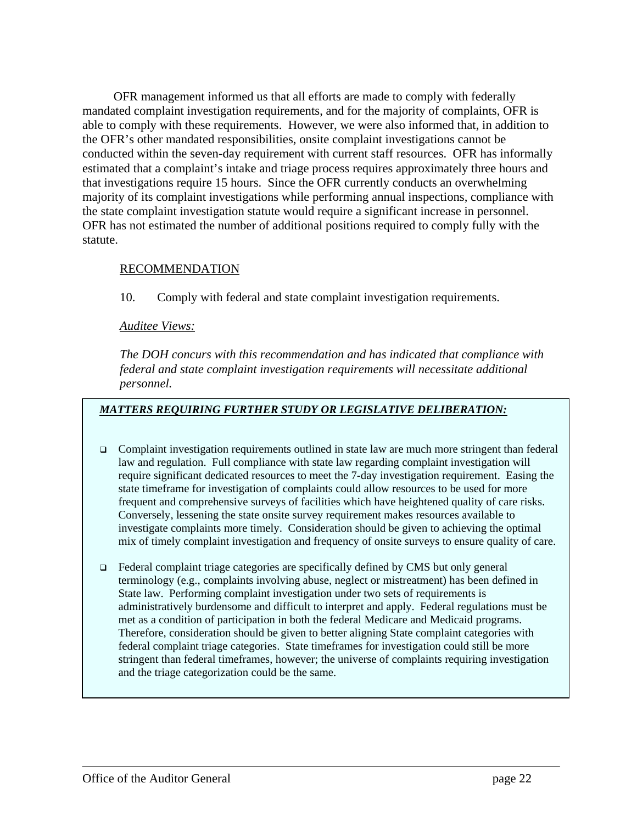OFR management informed us that all efforts are made to comply with federally mandated complaint investigation requirements, and for the majority of complaints, OFR is able to comply with these requirements. However, we were also informed that, in addition to the OFR's other mandated responsibilities, onsite complaint investigations cannot be conducted within the seven-day requirement with current staff resources. OFR has informally estimated that a complaint's intake and triage process requires approximately three hours and that investigations require 15 hours. Since the OFR currently conducts an overwhelming majority of its complaint investigations while performing annual inspections, compliance with the state complaint investigation statute would require a significant increase in personnel. OFR has not estimated the number of additional positions required to comply fully with the statute.

### RECOMMENDATION

10. Comply with federal and state complaint investigation requirements.

#### *Auditee Views:*

*The DOH concurs with this recommendation and has indicated that compliance with federal and state complaint investigation requirements will necessitate additional personnel.* 

#### *MATTERS REQUIRING FURTHER STUDY OR LEGISLATIVE DELIBERATION:*

- $\Box$  Complaint investigation requirements outlined in state law are much more stringent than federal law and regulation. Full compliance with state law regarding complaint investigation will require significant dedicated resources to meet the 7-day investigation requirement. Easing the state timeframe for investigation of complaints could allow resources to be used for more frequent and comprehensive surveys of facilities which have heightened quality of care risks. Conversely, lessening the state onsite survey requirement makes resources available to investigate complaints more timely. Consideration should be given to achieving the optimal mix of timely complaint investigation and frequency of onsite surveys to ensure quality of care.
- Federal complaint triage categories are specifically defined by CMS but only general terminology (e.g., complaints involving abuse, neglect or mistreatment) has been defined in State law. Performing complaint investigation under two sets of requirements is administratively burdensome and difficult to interpret and apply. Federal regulations must be met as a condition of participation in both the federal Medicare and Medicaid programs. Therefore, consideration should be given to better aligning State complaint categories with federal complaint triage categories. State timeframes for investigation could still be more stringent than federal timeframes, however; the universe of complaints requiring investigation and the triage categorization could be the same.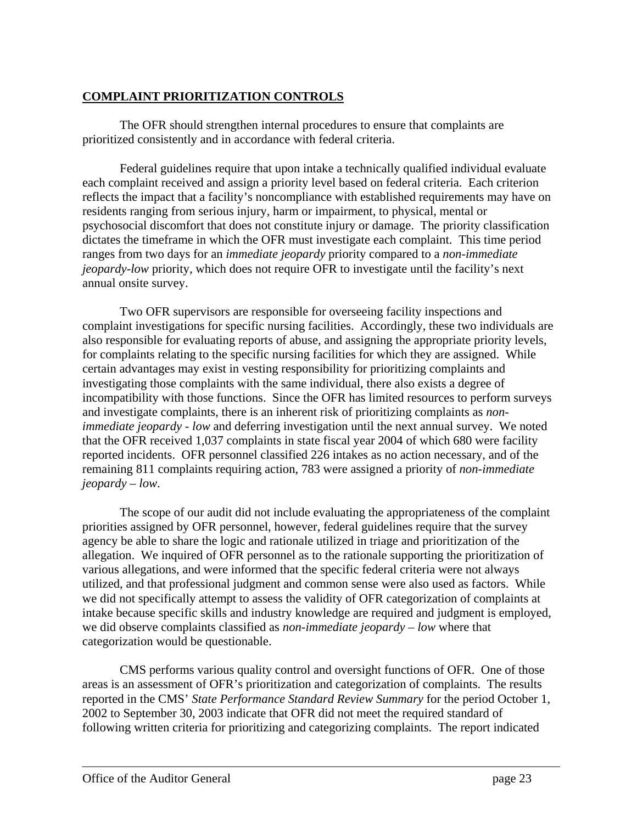## **COMPLAINT PRIORITIZATION CONTROLS**

The OFR should strengthen internal procedures to ensure that complaints are prioritized consistently and in accordance with federal criteria.

Federal guidelines require that upon intake a technically qualified individual evaluate each complaint received and assign a priority level based on federal criteria. Each criterion reflects the impact that a facility's noncompliance with established requirements may have on residents ranging from serious injury, harm or impairment, to physical, mental or psychosocial discomfort that does not constitute injury or damage. The priority classification dictates the timeframe in which the OFR must investigate each complaint. This time period ranges from two days for an *immediate jeopardy* priority compared to a *non-immediate jeopardy-low* priority, which does not require OFR to investigate until the facility's next annual onsite survey.

Two OFR supervisors are responsible for overseeing facility inspections and complaint investigations for specific nursing facilities. Accordingly, these two individuals are also responsible for evaluating reports of abuse, and assigning the appropriate priority levels, for complaints relating to the specific nursing facilities for which they are assigned. While certain advantages may exist in vesting responsibility for prioritizing complaints and investigating those complaints with the same individual, there also exists a degree of incompatibility with those functions. Since the OFR has limited resources to perform surveys and investigate complaints, there is an inherent risk of prioritizing complaints as *nonimmediate jeopardy - low* and deferring investigation until the next annual survey. We noted that the OFR received 1,037 complaints in state fiscal year 2004 of which 680 were facility reported incidents. OFR personnel classified 226 intakes as no action necessary, and of the remaining 811 complaints requiring action, 783 were assigned a priority of *non-immediate jeopardy – low*.

The scope of our audit did not include evaluating the appropriateness of the complaint priorities assigned by OFR personnel, however, federal guidelines require that the survey agency be able to share the logic and rationale utilized in triage and prioritization of the allegation. We inquired of OFR personnel as to the rationale supporting the prioritization of various allegations, and were informed that the specific federal criteria were not always utilized, and that professional judgment and common sense were also used as factors. While we did not specifically attempt to assess the validity of OFR categorization of complaints at intake because specific skills and industry knowledge are required and judgment is employed, we did observe complaints classified as *non-immediate jeopardy – low* where that categorization would be questionable.

CMS performs various quality control and oversight functions of OFR. One of those areas is an assessment of OFR's prioritization and categorization of complaints. The results reported in the CMS' *State Performance Standard Review Summary* for the period October 1, 2002 to September 30, 2003 indicate that OFR did not meet the required standard of following written criteria for prioritizing and categorizing complaints. The report indicated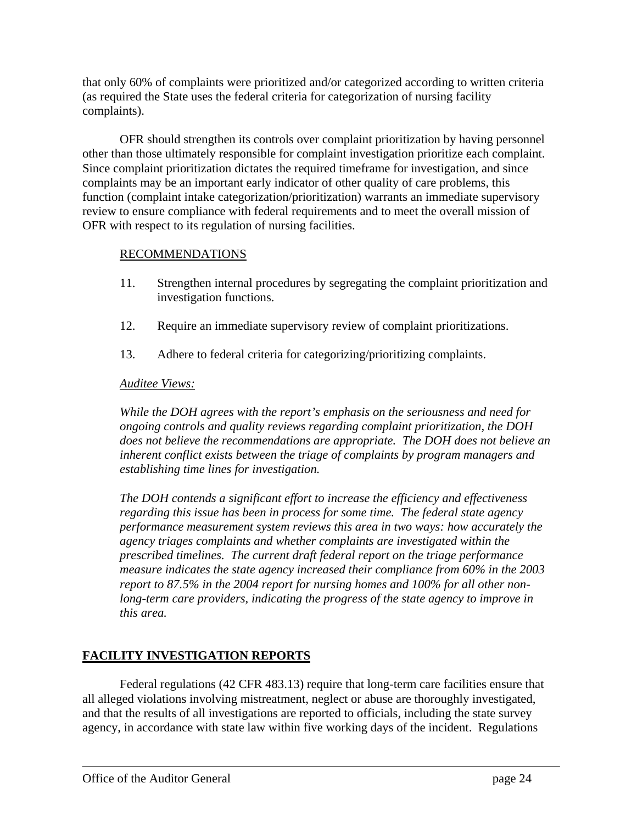that only 60% of complaints were prioritized and/or categorized according to written criteria (as required the State uses the federal criteria for categorization of nursing facility complaints).

OFR should strengthen its controls over complaint prioritization by having personnel other than those ultimately responsible for complaint investigation prioritize each complaint. Since complaint prioritization dictates the required timeframe for investigation, and since complaints may be an important early indicator of other quality of care problems, this function (complaint intake categorization/prioritization) warrants an immediate supervisory review to ensure compliance with federal requirements and to meet the overall mission of OFR with respect to its regulation of nursing facilities.

### RECOMMENDATIONS

- 11. Strengthen internal procedures by segregating the complaint prioritization and investigation functions.
- 12. Require an immediate supervisory review of complaint prioritizations.
- 13. Adhere to federal criteria for categorizing/prioritizing complaints.

#### *Auditee Views:*

*While the DOH agrees with the report's emphasis on the seriousness and need for ongoing controls and quality reviews regarding complaint prioritization, the DOH does not believe the recommendations are appropriate. The DOH does not believe an inherent conflict exists between the triage of complaints by program managers and establishing time lines for investigation.* 

*The DOH contends a significant effort to increase the efficiency and effectiveness regarding this issue has been in process for some time. The federal state agency performance measurement system reviews this area in two ways: how accurately the agency triages complaints and whether complaints are investigated within the prescribed timelines. The current draft federal report on the triage performance measure indicates the state agency increased their compliance from 60% in the 2003 report to 87.5% in the 2004 report for nursing homes and 100% for all other nonlong-term care providers, indicating the progress of the state agency to improve in this area.* 

## **FACILITY INVESTIGATION REPORTS**

Federal regulations (42 CFR 483.13) require that long-term care facilities ensure that all alleged violations involving mistreatment, neglect or abuse are thoroughly investigated, and that the results of all investigations are reported to officials, including the state survey agency, in accordance with state law within five working days of the incident. Regulations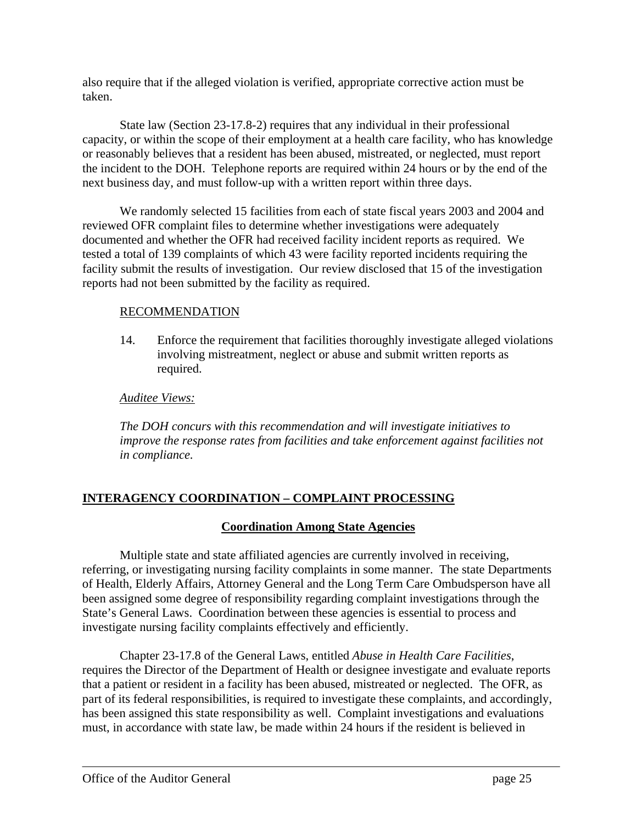also require that if the alleged violation is verified, appropriate corrective action must be taken.

State law (Section 23-17.8-2) requires that any individual in their professional capacity, or within the scope of their employment at a health care facility, who has knowledge or reasonably believes that a resident has been abused, mistreated, or neglected, must report the incident to the DOH. Telephone reports are required within 24 hours or by the end of the next business day, and must follow-up with a written report within three days.

We randomly selected 15 facilities from each of state fiscal years 2003 and 2004 and reviewed OFR complaint files to determine whether investigations were adequately documented and whether the OFR had received facility incident reports as required. We tested a total of 139 complaints of which 43 were facility reported incidents requiring the facility submit the results of investigation. Our review disclosed that 15 of the investigation reports had not been submitted by the facility as required.

## RECOMMENDATION

14. Enforce the requirement that facilities thoroughly investigate alleged violations involving mistreatment, neglect or abuse and submit written reports as required.

## *Auditee Views:*

*The DOH concurs with this recommendation and will investigate initiatives to improve the response rates from facilities and take enforcement against facilities not in compliance.* 

## **INTERAGENCY COORDINATION – COMPLAINT PROCESSING**

## **Coordination Among State Agencies**

Multiple state and state affiliated agencies are currently involved in receiving, referring, or investigating nursing facility complaints in some manner. The state Departments of Health, Elderly Affairs, Attorney General and the Long Term Care Ombudsperson have all been assigned some degree of responsibility regarding complaint investigations through the State's General Laws. Coordination between these agencies is essential to process and investigate nursing facility complaints effectively and efficiently.

Chapter 23-17.8 of the General Laws, entitled *Abuse in Health Care Facilities*, requires the Director of the Department of Health or designee investigate and evaluate reports that a patient or resident in a facility has been abused, mistreated or neglected. The OFR, as part of its federal responsibilities, is required to investigate these complaints, and accordingly, has been assigned this state responsibility as well. Complaint investigations and evaluations must, in accordance with state law, be made within 24 hours if the resident is believed in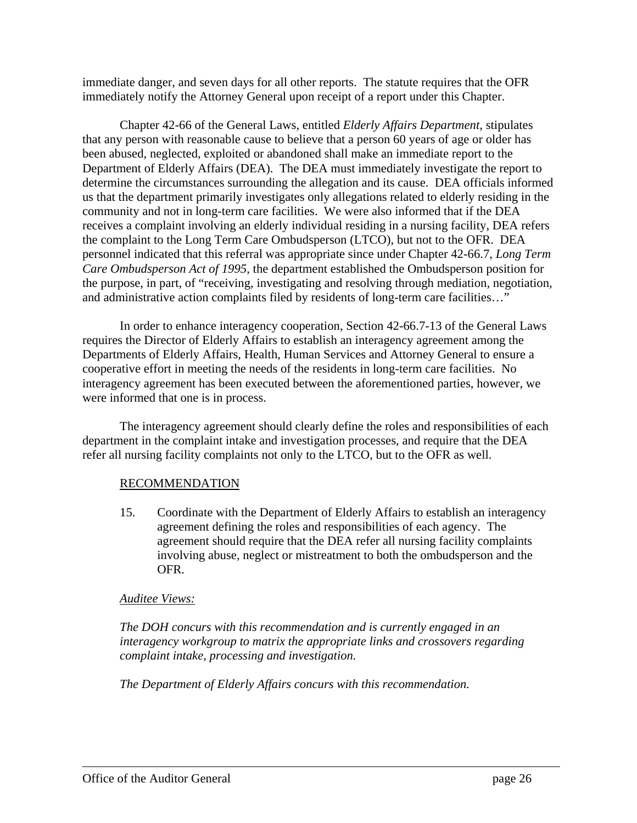immediate danger, and seven days for all other reports. The statute requires that the OFR immediately notify the Attorney General upon receipt of a report under this Chapter.

Chapter 42-66 of the General Laws, entitled *Elderly Affairs Department*, stipulates that any person with reasonable cause to believe that a person 60 years of age or older has been abused, neglected, exploited or abandoned shall make an immediate report to the Department of Elderly Affairs (DEA). The DEA must immediately investigate the report to determine the circumstances surrounding the allegation and its cause. DEA officials informed us that the department primarily investigates only allegations related to elderly residing in the community and not in long-term care facilities. We were also informed that if the DEA receives a complaint involving an elderly individual residing in a nursing facility, DEA refers the complaint to the Long Term Care Ombudsperson (LTCO), but not to the OFR. DEA personnel indicated that this referral was appropriate since under Chapter 42-66.7, *Long Term Care Ombudsperson Act of 1995*, the department established the Ombudsperson position for the purpose, in part, of "receiving, investigating and resolving through mediation, negotiation, and administrative action complaints filed by residents of long-term care facilities…"

In order to enhance interagency cooperation, Section 42-66.7-13 of the General Laws requires the Director of Elderly Affairs to establish an interagency agreement among the Departments of Elderly Affairs, Health, Human Services and Attorney General to ensure a cooperative effort in meeting the needs of the residents in long-term care facilities. No interagency agreement has been executed between the aforementioned parties, however, we were informed that one is in process.

The interagency agreement should clearly define the roles and responsibilities of each department in the complaint intake and investigation processes, and require that the DEA refer all nursing facility complaints not only to the LTCO, but to the OFR as well.

#### RECOMMENDATION

15. Coordinate with the Department of Elderly Affairs to establish an interagency agreement defining the roles and responsibilities of each agency. The agreement should require that the DEA refer all nursing facility complaints involving abuse, neglect or mistreatment to both the ombudsperson and the OFR.

#### *Auditee Views:*

*The DOH concurs with this recommendation and is currently engaged in an interagency workgroup to matrix the appropriate links and crossovers regarding complaint intake, processing and investigation.* 

*The Department of Elderly Affairs concurs with this recommendation.*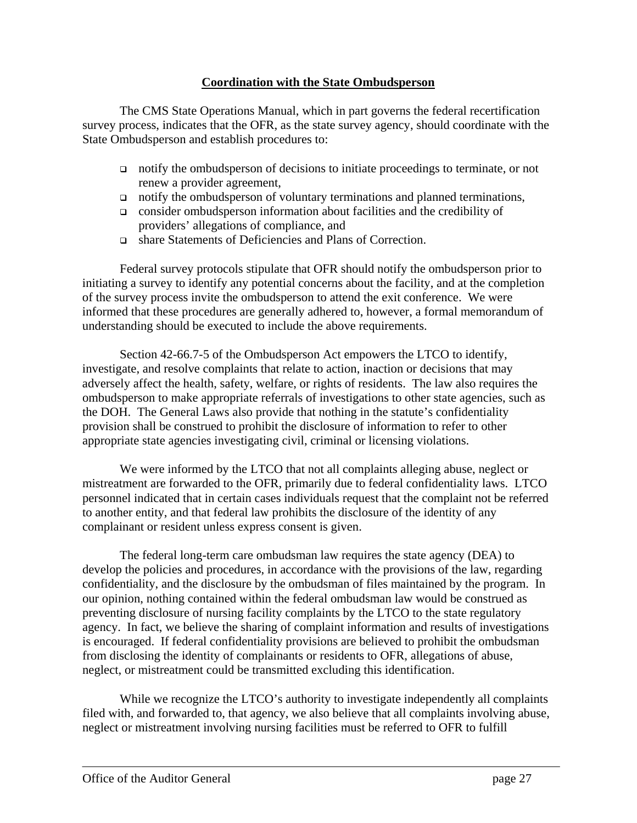#### **Coordination with the State Ombudsperson**

The CMS State Operations Manual, which in part governs the federal recertification survey process, indicates that the OFR, as the state survey agency, should coordinate with the State Ombudsperson and establish procedures to:

- notify the ombudsperson of decisions to initiate proceedings to terminate, or not renew a provider agreement,
- $\Box$  notify the ombudsperson of voluntary terminations and planned terminations,
- $\Box$  consider ombudsperson information about facilities and the credibility of providers' allegations of compliance, and
- share Statements of Deficiencies and Plans of Correction.

Federal survey protocols stipulate that OFR should notify the ombudsperson prior to initiating a survey to identify any potential concerns about the facility, and at the completion of the survey process invite the ombudsperson to attend the exit conference. We were informed that these procedures are generally adhered to, however, a formal memorandum of understanding should be executed to include the above requirements.

Section 42-66.7-5 of the Ombudsperson Act empowers the LTCO to identify, investigate, and resolve complaints that relate to action, inaction or decisions that may adversely affect the health, safety, welfare, or rights of residents. The law also requires the ombudsperson to make appropriate referrals of investigations to other state agencies, such as the DOH. The General Laws also provide that nothing in the statute's confidentiality provision shall be construed to prohibit the disclosure of information to refer to other appropriate state agencies investigating civil, criminal or licensing violations.

We were informed by the LTCO that not all complaints alleging abuse, neglect or mistreatment are forwarded to the OFR, primarily due to federal confidentiality laws. LTCO personnel indicated that in certain cases individuals request that the complaint not be referred to another entity, and that federal law prohibits the disclosure of the identity of any complainant or resident unless express consent is given.

The federal long-term care ombudsman law requires the state agency (DEA) to develop the policies and procedures, in accordance with the provisions of the law, regarding confidentiality, and the disclosure by the ombudsman of files maintained by the program. In our opinion, nothing contained within the federal ombudsman law would be construed as preventing disclosure of nursing facility complaints by the LTCO to the state regulatory agency. In fact, we believe the sharing of complaint information and results of investigations is encouraged. If federal confidentiality provisions are believed to prohibit the ombudsman from disclosing the identity of complainants or residents to OFR, allegations of abuse, neglect, or mistreatment could be transmitted excluding this identification.

While we recognize the LTCO's authority to investigate independently all complaints filed with, and forwarded to, that agency, we also believe that all complaints involving abuse, neglect or mistreatment involving nursing facilities must be referred to OFR to fulfill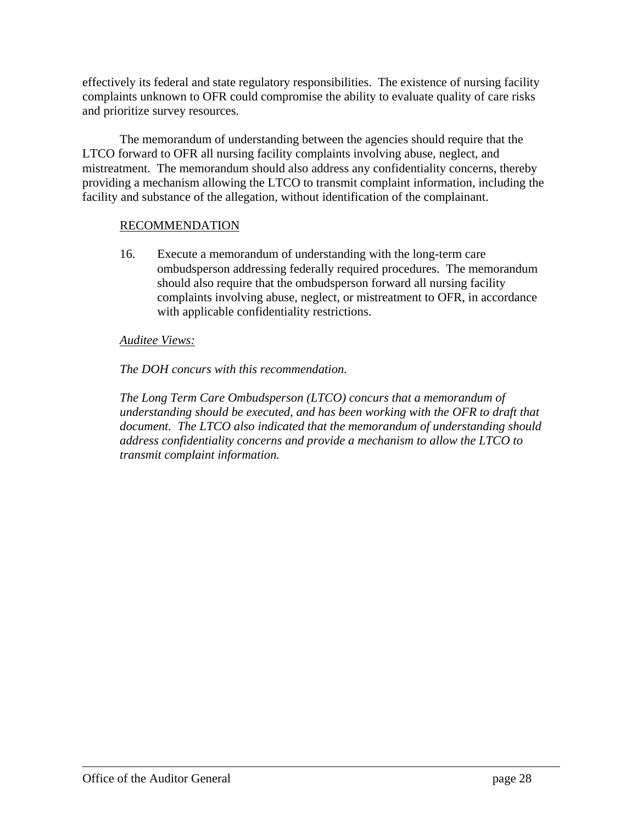effectively its federal and state regulatory responsibilities. The existence of nursing facility complaints unknown to OFR could compromise the ability to evaluate quality of care risks and prioritize survey resources.

The memorandum of understanding between the agencies should require that the LTCO forward to OFR all nursing facility complaints involving abuse, neglect, and mistreatment. The memorandum should also address any confidentiality concerns, thereby providing a mechanism allowing the LTCO to transmit complaint information, including the facility and substance of the allegation, without identification of the complainant.

#### RECOMMENDATION

16. Execute a memorandum of understanding with the long-term care ombudsperson addressing federally required procedures. The memorandum should also require that the ombudsperson forward all nursing facility complaints involving abuse, neglect, or mistreatment to OFR, in accordance with applicable confidentiality restrictions.

#### *Auditee Views:*

#### *The DOH concurs with this recommendation.*

*The Long Term Care Ombudsperson (LTCO) concurs that a memorandum of understanding should be executed, and has been working with the OFR to draft that document. The LTCO also indicated that the memorandum of understanding should address confidentiality concerns and provide a mechanism to allow the LTCO to transmit complaint information.*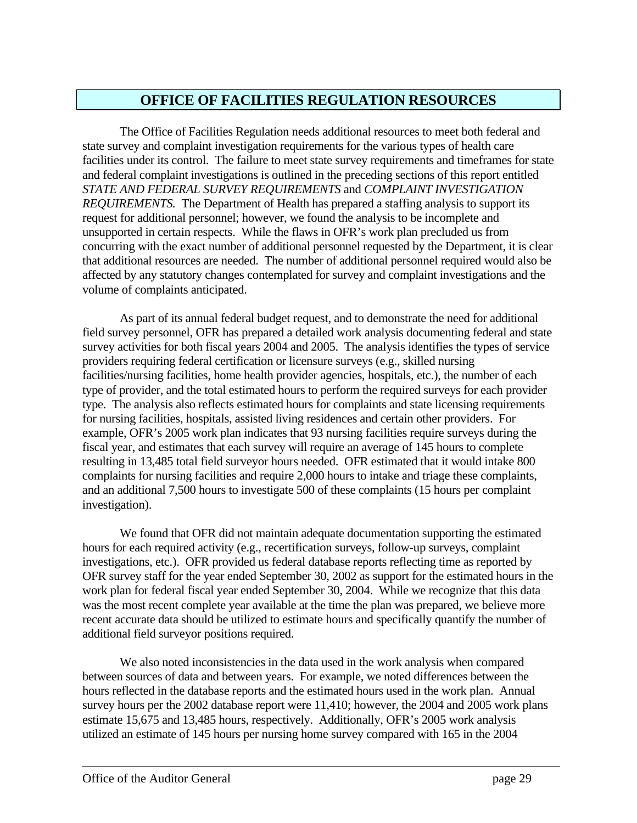## **OFFICE OF FACILITIES REGULATION RESOURCES**

The Office of Facilities Regulation needs additional resources to meet both federal and state survey and complaint investigation requirements for the various types of health care facilities under its control. The failure to meet state survey requirements and timeframes for state and federal complaint investigations is outlined in the preceding sections of this report entitled *STATE AND FEDERAL SURVEY REQUIREMENTS* and *COMPLAINT INVESTIGATION REQUIREMENTS.* The Department of Health has prepared a staffing analysis to support its request for additional personnel; however, we found the analysis to be incomplete and unsupported in certain respects. While the flaws in OFR's work plan precluded us from concurring with the exact number of additional personnel requested by the Department, it is clear that additional resources are needed. The number of additional personnel required would also be affected by any statutory changes contemplated for survey and complaint investigations and the volume of complaints anticipated.

As part of its annual federal budget request, and to demonstrate the need for additional field survey personnel, OFR has prepared a detailed work analysis documenting federal and state survey activities for both fiscal years 2004 and 2005. The analysis identifies the types of service providers requiring federal certification or licensure surveys (e.g., skilled nursing facilities/nursing facilities, home health provider agencies, hospitals, etc.), the number of each type of provider, and the total estimated hours to perform the required surveys for each provider type. The analysis also reflects estimated hours for complaints and state licensing requirements for nursing facilities, hospitals, assisted living residences and certain other providers. For example, OFR's 2005 work plan indicates that 93 nursing facilities require surveys during the fiscal year, and estimates that each survey will require an average of 145 hours to complete resulting in 13,485 total field surveyor hours needed. OFR estimated that it would intake 800 complaints for nursing facilities and require 2,000 hours to intake and triage these complaints, and an additional 7,500 hours to investigate 500 of these complaints (15 hours per complaint investigation).

We found that OFR did not maintain adequate documentation supporting the estimated hours for each required activity (e.g., recertification surveys, follow-up surveys, complaint investigations, etc.). OFR provided us federal database reports reflecting time as reported by OFR survey staff for the year ended September 30, 2002 as support for the estimated hours in the work plan for federal fiscal year ended September 30, 2004. While we recognize that this data was the most recent complete year available at the time the plan was prepared, we believe more recent accurate data should be utilized to estimate hours and specifically quantify the number of additional field surveyor positions required.

We also noted inconsistencies in the data used in the work analysis when compared between sources of data and between years. For example, we noted differences between the hours reflected in the database reports and the estimated hours used in the work plan. Annual survey hours per the 2002 database report were 11,410; however, the 2004 and 2005 work plans estimate 15,675 and 13,485 hours, respectively. Additionally, OFR's 2005 work analysis utilized an estimate of 145 hours per nursing home survey compared with 165 in the 2004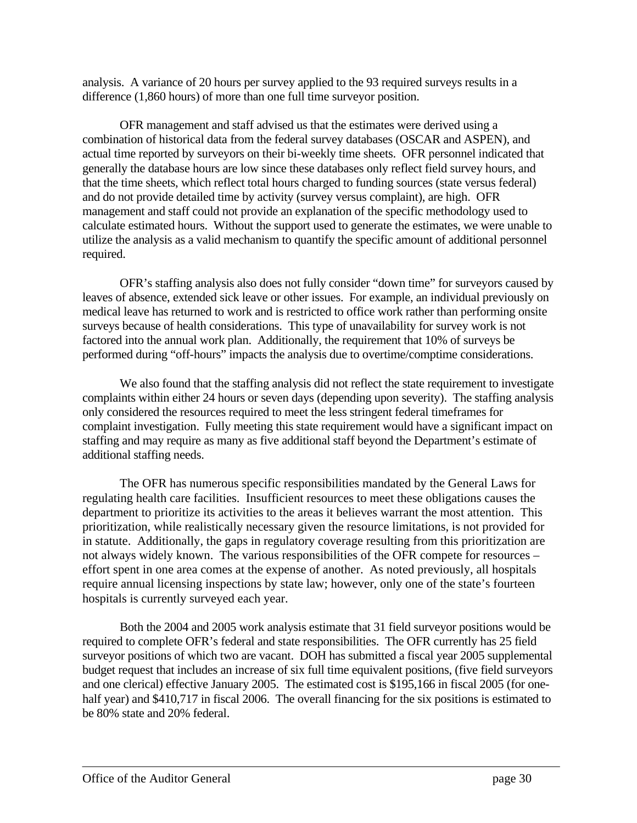analysis. A variance of 20 hours per survey applied to the 93 required surveys results in a difference (1,860 hours) of more than one full time surveyor position.

OFR management and staff advised us that the estimates were derived using a combination of historical data from the federal survey databases (OSCAR and ASPEN), and actual time reported by surveyors on their bi-weekly time sheets. OFR personnel indicated that generally the database hours are low since these databases only reflect field survey hours, and that the time sheets, which reflect total hours charged to funding sources (state versus federal) and do not provide detailed time by activity (survey versus complaint), are high. OFR management and staff could not provide an explanation of the specific methodology used to calculate estimated hours. Without the support used to generate the estimates, we were unable to utilize the analysis as a valid mechanism to quantify the specific amount of additional personnel required.

OFR's staffing analysis also does not fully consider "down time" for surveyors caused by leaves of absence, extended sick leave or other issues. For example, an individual previously on medical leave has returned to work and is restricted to office work rather than performing onsite surveys because of health considerations. This type of unavailability for survey work is not factored into the annual work plan. Additionally, the requirement that 10% of surveys be performed during "off-hours" impacts the analysis due to overtime/comptime considerations.

We also found that the staffing analysis did not reflect the state requirement to investigate complaints within either 24 hours or seven days (depending upon severity). The staffing analysis only considered the resources required to meet the less stringent federal timeframes for complaint investigation. Fully meeting this state requirement would have a significant impact on staffing and may require as many as five additional staff beyond the Department's estimate of additional staffing needs.

The OFR has numerous specific responsibilities mandated by the General Laws for regulating health care facilities. Insufficient resources to meet these obligations causes the department to prioritize its activities to the areas it believes warrant the most attention. This prioritization, while realistically necessary given the resource limitations, is not provided for in statute. Additionally, the gaps in regulatory coverage resulting from this prioritization are not always widely known. The various responsibilities of the OFR compete for resources – effort spent in one area comes at the expense of another. As noted previously, all hospitals require annual licensing inspections by state law; however, only one of the state's fourteen hospitals is currently surveyed each year.

Both the 2004 and 2005 work analysis estimate that 31 field surveyor positions would be required to complete OFR's federal and state responsibilities. The OFR currently has 25 field surveyor positions of which two are vacant. DOH has submitted a fiscal year 2005 supplemental budget request that includes an increase of six full time equivalent positions, (five field surveyors and one clerical) effective January 2005. The estimated cost is \$195,166 in fiscal 2005 (for onehalf year) and \$410,717 in fiscal 2006. The overall financing for the six positions is estimated to be 80% state and 20% federal.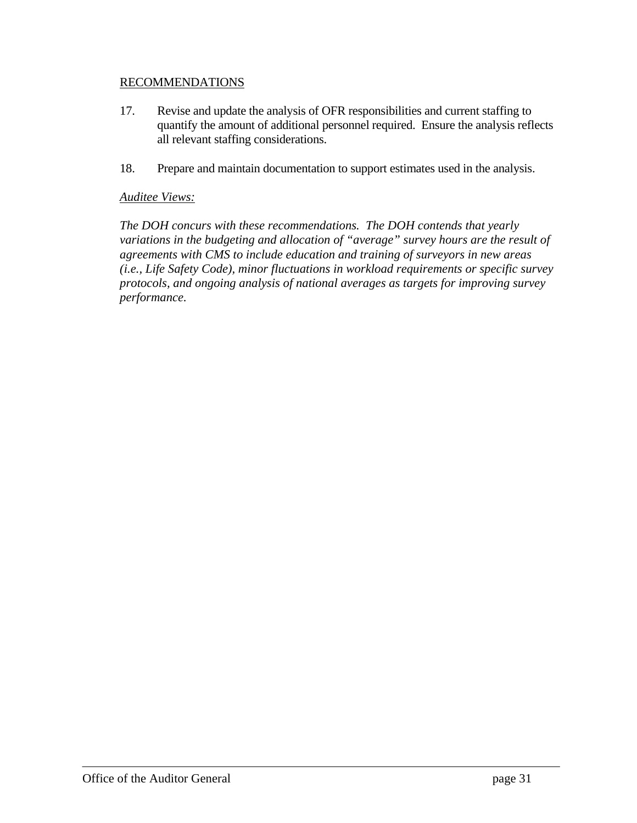#### RECOMMENDATIONS

- 17. Revise and update the analysis of OFR responsibilities and current staffing to quantify the amount of additional personnel required. Ensure the analysis reflects all relevant staffing considerations.
- 18. Prepare and maintain documentation to support estimates used in the analysis.

#### *Auditee Views:*

*The DOH concurs with these recommendations. The DOH contends that yearly variations in the budgeting and allocation of "average" survey hours are the result of agreements with CMS to include education and training of surveyors in new areas (i.e., Life Safety Code), minor fluctuations in workload requirements or specific survey protocols, and ongoing analysis of national averages as targets for improving survey performance.*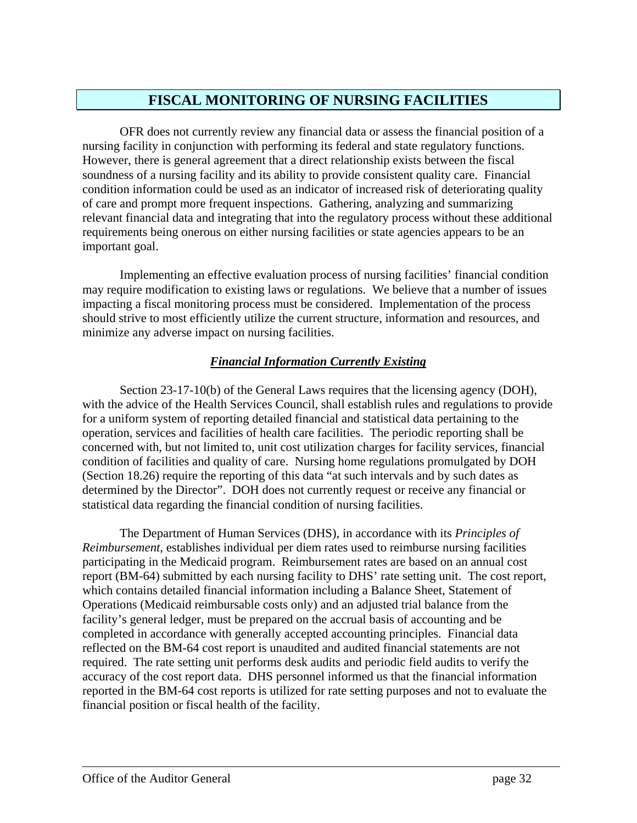## **FISCAL MONITORING OF NURSING FACILITIES**

OFR does not currently review any financial data or assess the financial position of a nursing facility in conjunction with performing its federal and state regulatory functions. However, there is general agreement that a direct relationship exists between the fiscal soundness of a nursing facility and its ability to provide consistent quality care. Financial condition information could be used as an indicator of increased risk of deteriorating quality of care and prompt more frequent inspections. Gathering, analyzing and summarizing relevant financial data and integrating that into the regulatory process without these additional requirements being onerous on either nursing facilities or state agencies appears to be an important goal.

Implementing an effective evaluation process of nursing facilities' financial condition may require modification to existing laws or regulations. We believe that a number of issues impacting a fiscal monitoring process must be considered. Implementation of the process should strive to most efficiently utilize the current structure, information and resources, and minimize any adverse impact on nursing facilities.

### *Financial Information Currently Existing*

Section 23-17-10(b) of the General Laws requires that the licensing agency (DOH), with the advice of the Health Services Council, shall establish rules and regulations to provide for a uniform system of reporting detailed financial and statistical data pertaining to the operation, services and facilities of health care facilities. The periodic reporting shall be concerned with, but not limited to, unit cost utilization charges for facility services, financial condition of facilities and quality of care. Nursing home regulations promulgated by DOH (Section 18.26) require the reporting of this data "at such intervals and by such dates as determined by the Director". DOH does not currently request or receive any financial or statistical data regarding the financial condition of nursing facilities.

The Department of Human Services (DHS), in accordance with its *Principles of Reimbursement*, establishes individual per diem rates used to reimburse nursing facilities participating in the Medicaid program. Reimbursement rates are based on an annual cost report (BM-64) submitted by each nursing facility to DHS' rate setting unit. The cost report, which contains detailed financial information including a Balance Sheet, Statement of Operations (Medicaid reimbursable costs only) and an adjusted trial balance from the facility's general ledger, must be prepared on the accrual basis of accounting and be completed in accordance with generally accepted accounting principles. Financial data reflected on the BM-64 cost report is unaudited and audited financial statements are not required. The rate setting unit performs desk audits and periodic field audits to verify the accuracy of the cost report data. DHS personnel informed us that the financial information reported in the BM-64 cost reports is utilized for rate setting purposes and not to evaluate the financial position or fiscal health of the facility.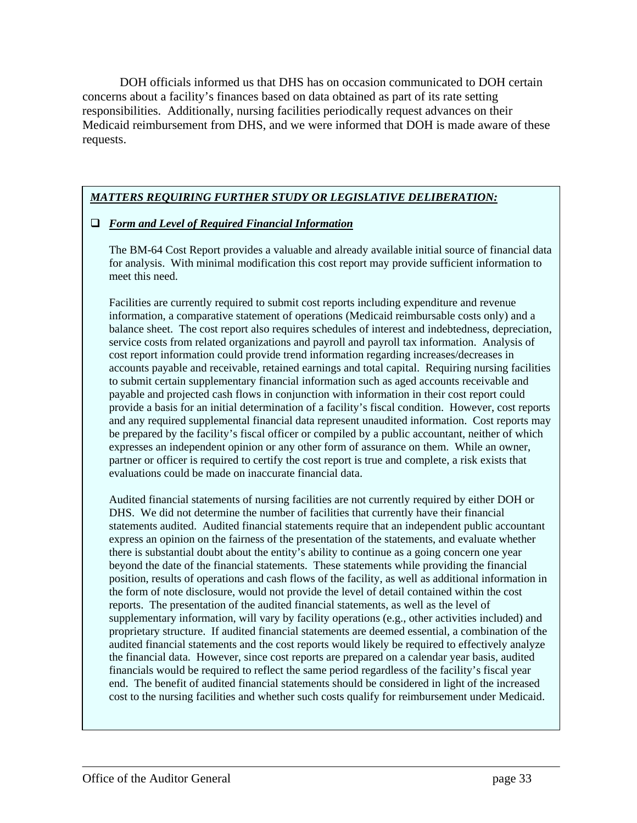DOH officials informed us that DHS has on occasion communicated to DOH certain concerns about a facility's finances based on data obtained as part of its rate setting responsibilities. Additionally, nursing facilities periodically request advances on their Medicaid reimbursement from DHS, and we were informed that DOH is made aware of these requests.

### *MATTERS REQUIRING FURTHER STUDY OR LEGISLATIVE DELIBERATION:*

#### *Form and Level of Required Financial Information*

The BM-64 Cost Report provides a valuable and already available initial source of financial data for analysis. With minimal modification this cost report may provide sufficient information to meet this need.

Facilities are currently required to submit cost reports including expenditure and revenue information, a comparative statement of operations (Medicaid reimbursable costs only) and a balance sheet. The cost report also requires schedules of interest and indebtedness, depreciation, service costs from related organizations and payroll and payroll tax information. Analysis of cost report information could provide trend information regarding increases/decreases in accounts payable and receivable, retained earnings and total capital. Requiring nursing facilities to submit certain supplementary financial information such as aged accounts receivable and payable and projected cash flows in conjunction with information in their cost report could provide a basis for an initial determination of a facility's fiscal condition. However, cost reports and any required supplemental financial data represent unaudited information. Cost reports may be prepared by the facility's fiscal officer or compiled by a public accountant, neither of which expresses an independent opinion or any other form of assurance on them. While an owner, partner or officer is required to certify the cost report is true and complete, a risk exists that evaluations could be made on inaccurate financial data.

Audited financial statements of nursing facilities are not currently required by either DOH or DHS. We did not determine the number of facilities that currently have their financial statements audited. Audited financial statements require that an independent public accountant express an opinion on the fairness of the presentation of the statements, and evaluate whether there is substantial doubt about the entity's ability to continue as a going concern one year beyond the date of the financial statements. These statements while providing the financial position, results of operations and cash flows of the facility, as well as additional information in the form of note disclosure, would not provide the level of detail contained within the cost reports. The presentation of the audited financial statements, as well as the level of supplementary information, will vary by facility operations (e.g., other activities included) and proprietary structure. If audited financial statements are deemed essential, a combination of the audited financial statements and the cost reports would likely be required to effectively analyze the financial data. However, since cost reports are prepared on a calendar year basis, audited financials would be required to reflect the same period regardless of the facility's fiscal year end. The benefit of audited financial statements should be considered in light of the increased cost to the nursing facilities and whether such costs qualify for reimbursement under Medicaid.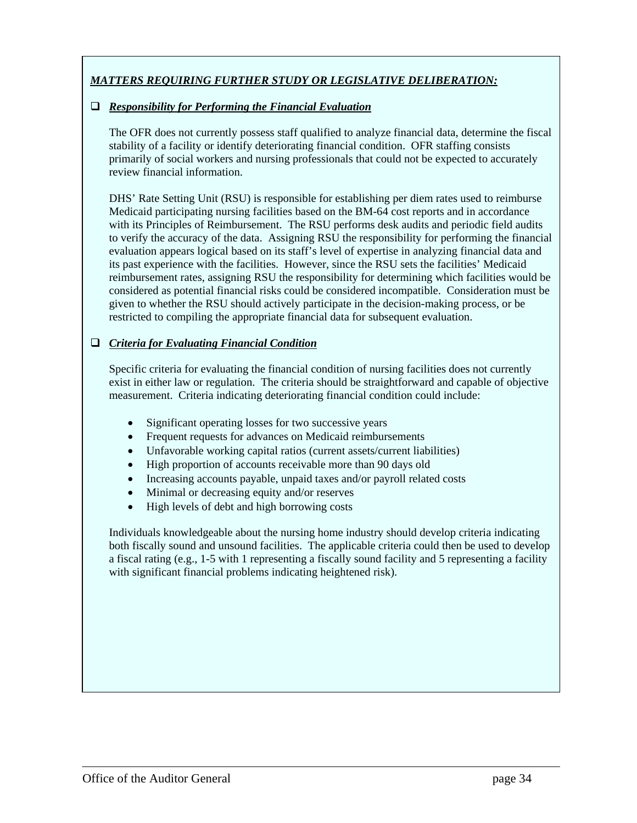## *MATTERS REQUIRING FURTHER STUDY OR LEGISLATIVE DELIBERATION:*

#### *Responsibility for Performing the Financial Evaluation*

The OFR does not currently possess staff qualified to analyze financial data, determine the fiscal stability of a facility or identify deteriorating financial condition. OFR staffing consists primarily of social workers and nursing professionals that could not be expected to accurately review financial information.

DHS' Rate Setting Unit (RSU) is responsible for establishing per diem rates used to reimburse Medicaid participating nursing facilities based on the BM-64 cost reports and in accordance with its Principles of Reimbursement. The RSU performs desk audits and periodic field audits to verify the accuracy of the data. Assigning RSU the responsibility for performing the financial evaluation appears logical based on its staff's level of expertise in analyzing financial data and its past experience with the facilities. However, since the RSU sets the facilities' Medicaid reimbursement rates, assigning RSU the responsibility for determining which facilities would be considered as potential financial risks could be considered incompatible. Consideration must be given to whether the RSU should actively participate in the decision-making process, or be restricted to compiling the appropriate financial data for subsequent evaluation.

#### *Criteria for Evaluating Financial Condition*

Specific criteria for evaluating the financial condition of nursing facilities does not currently exist in either law or regulation. The criteria should be straightforward and capable of objective measurement. Criteria indicating deteriorating financial condition could include:

- Significant operating losses for two successive years
- Frequent requests for advances on Medicaid reimbursements
- Unfavorable working capital ratios (current assets/current liabilities)
- High proportion of accounts receivable more than 90 days old
- Increasing accounts payable, unpaid taxes and/or payroll related costs
- Minimal or decreasing equity and/or reserves
- High levels of debt and high borrowing costs

Individuals knowledgeable about the nursing home industry should develop criteria indicating both fiscally sound and unsound facilities. The applicable criteria could then be used to develop a fiscal rating (e.g., 1-5 with 1 representing a fiscally sound facility and 5 representing a facility with significant financial problems indicating heightened risk).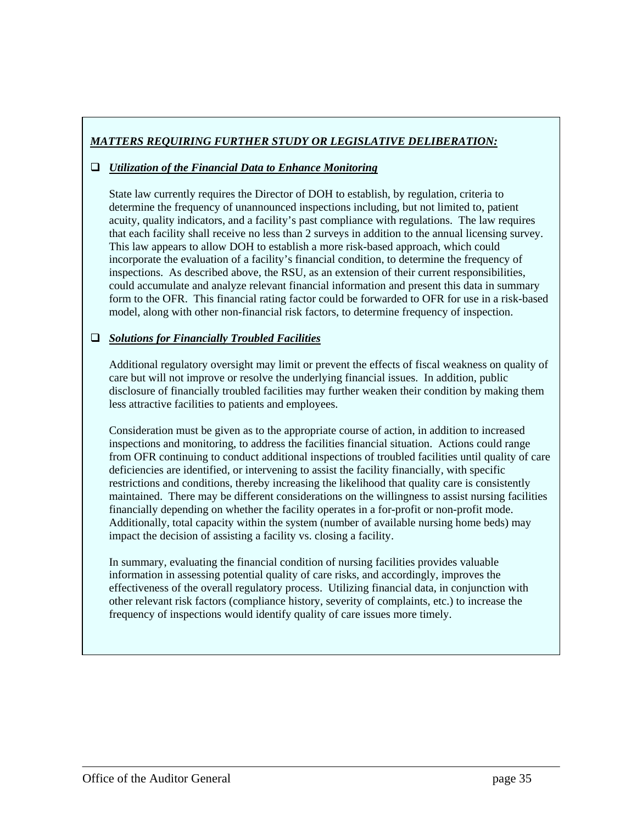## *MATTERS REQUIRING FURTHER STUDY OR LEGISLATIVE DELIBERATION:*

#### *Utilization of the Financial Data to Enhance Monitoring*

State law currently requires the Director of DOH to establish, by regulation, criteria to determine the frequency of unannounced inspections including, but not limited to, patient acuity, quality indicators, and a facility's past compliance with regulations. The law requires that each facility shall receive no less than 2 surveys in addition to the annual licensing survey. This law appears to allow DOH to establish a more risk-based approach, which could incorporate the evaluation of a facility's financial condition, to determine the frequency of inspections. As described above, the RSU, as an extension of their current responsibilities, could accumulate and analyze relevant financial information and present this data in summary form to the OFR. This financial rating factor could be forwarded to OFR for use in a risk-based model, along with other non-financial risk factors, to determine frequency of inspection.

#### *Solutions for Financially Troubled Facilities*

Additional regulatory oversight may limit or prevent the effects of fiscal weakness on quality of care but will not improve or resolve the underlying financial issues. In addition, public disclosure of financially troubled facilities may further weaken their condition by making them less attractive facilities to patients and employees.

Consideration must be given as to the appropriate course of action, in addition to increased inspections and monitoring, to address the facilities financial situation. Actions could range from OFR continuing to conduct additional inspections of troubled facilities until quality of care deficiencies are identified, or intervening to assist the facility financially, with specific restrictions and conditions, thereby increasing the likelihood that quality care is consistently maintained. There may be different considerations on the willingness to assist nursing facilities financially depending on whether the facility operates in a for-profit or non-profit mode. Additionally, total capacity within the system (number of available nursing home beds) may impact the decision of assisting a facility vs. closing a facility.

In summary, evaluating the financial condition of nursing facilities provides valuable information in assessing potential quality of care risks, and accordingly, improves the effectiveness of the overall regulatory process. Utilizing financial data, in conjunction with other relevant risk factors (compliance history, severity of complaints, etc.) to increase the frequency of inspections would identify quality of care issues more timely.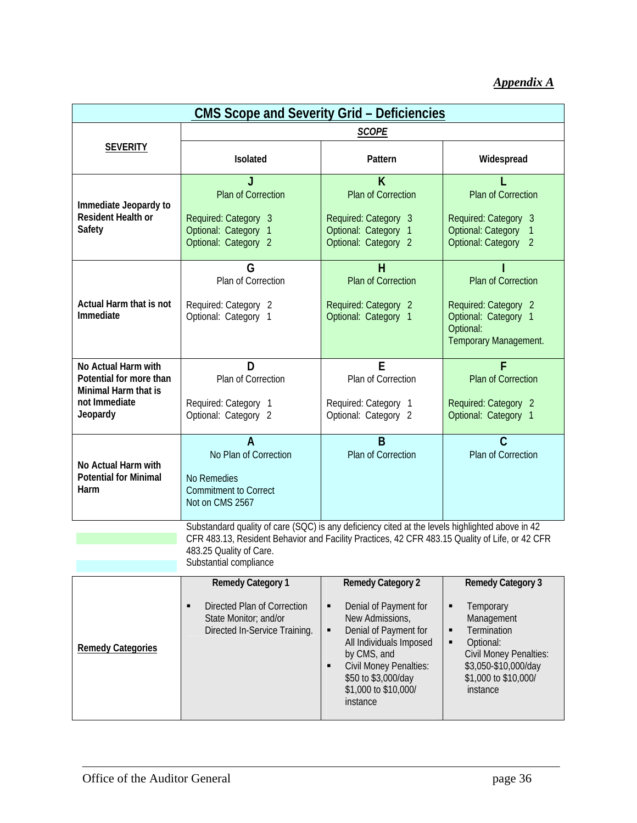## *Appendix A*

| <b>CMS Scope and Severity Grid - Deficiencies</b>                                                   |                                                                                                                                                                                                                                                        |                                                                                                                                                                                                                                                                 |                                                                                                                                                                                      |  |  |  |  |
|-----------------------------------------------------------------------------------------------------|--------------------------------------------------------------------------------------------------------------------------------------------------------------------------------------------------------------------------------------------------------|-----------------------------------------------------------------------------------------------------------------------------------------------------------------------------------------------------------------------------------------------------------------|--------------------------------------------------------------------------------------------------------------------------------------------------------------------------------------|--|--|--|--|
|                                                                                                     | <b>SCOPE</b>                                                                                                                                                                                                                                           |                                                                                                                                                                                                                                                                 |                                                                                                                                                                                      |  |  |  |  |
| <b>SEVERITY</b>                                                                                     | <b>Isolated</b>                                                                                                                                                                                                                                        | Pattern                                                                                                                                                                                                                                                         | Widespread                                                                                                                                                                           |  |  |  |  |
| Immediate Jeopardy to<br><b>Resident Health or</b><br>Safety                                        | <b>Plan of Correction</b><br>Required: Category 3<br>Optional: Category 1<br>Optional: Category 2                                                                                                                                                      | K<br><b>Plan of Correction</b><br>Required: Category 3<br>Optional: Category 1<br>Optional: Category 2                                                                                                                                                          | Plan of Correction<br>Required: Category 3<br><b>Optional: Category</b><br><b>Optional: Category</b><br>$\overline{2}$                                                               |  |  |  |  |
| Actual Harm that is not<br>Immediate                                                                | G<br>Plan of Correction<br>Required: Category 2<br>Optional: Category 1                                                                                                                                                                                | н<br><b>Plan of Correction</b><br>Required: Category 2<br>Optional: Category 1                                                                                                                                                                                  | Plan of Correction<br>Required: Category 2<br>Optional: Category 1<br>Optional:<br>Temporary Management.                                                                             |  |  |  |  |
| No Actual Harm with<br>Potential for more than<br>Minimal Harm that is<br>not Immediate<br>Jeopardy | D<br>Plan of Correction<br>Required: Category 1<br>Optional: Category 2                                                                                                                                                                                | E<br>Plan of Correction<br>Required: Category 1<br>Optional: Category 2                                                                                                                                                                                         | <b>Plan of Correction</b><br>Required: Category 2<br>Optional: Category 1                                                                                                            |  |  |  |  |
| No Actual Harm with<br><b>Potential for Minimal</b><br>Harm                                         | No Plan of Correction<br>No Remedies<br><b>Commitment to Correct</b><br>Not on CMS 2567                                                                                                                                                                | B<br>Plan of Correction                                                                                                                                                                                                                                         | C<br>Plan of Correction                                                                                                                                                              |  |  |  |  |
|                                                                                                     | Substandard quality of care (SQC) is any deficiency cited at the levels highlighted above in 42<br>CFR 483.13, Resident Behavior and Facility Practices, 42 CFR 483.15 Quality of Life, or 42 CFR<br>483.25 Quality of Care.<br>Substantial compliance |                                                                                                                                                                                                                                                                 |                                                                                                                                                                                      |  |  |  |  |
| <b>Remedy Categories</b>                                                                            | <b>Remedy Category 1</b><br>Directed Plan of Correction<br>$\blacksquare$<br>State Monitor; and/or<br>Directed In-Service Training.                                                                                                                    | <b>Remedy Category 2</b><br>Denial of Payment for<br>$\blacksquare$<br>New Admissions,<br>Denial of Payment for<br>٠<br>All Individuals Imposed<br>by CMS, and<br><b>Civil Money Penalties:</b><br>п<br>\$50 to \$3,000/day<br>\$1,000 to \$10,000/<br>instance | <b>Remedy Category 3</b><br>Ξ<br>Temporary<br>Management<br>Termination<br>٠<br>Optional:<br>٠<br>Civil Money Penalties:<br>\$3,050-\$10,000/day<br>\$1,000 to \$10,000/<br>instance |  |  |  |  |